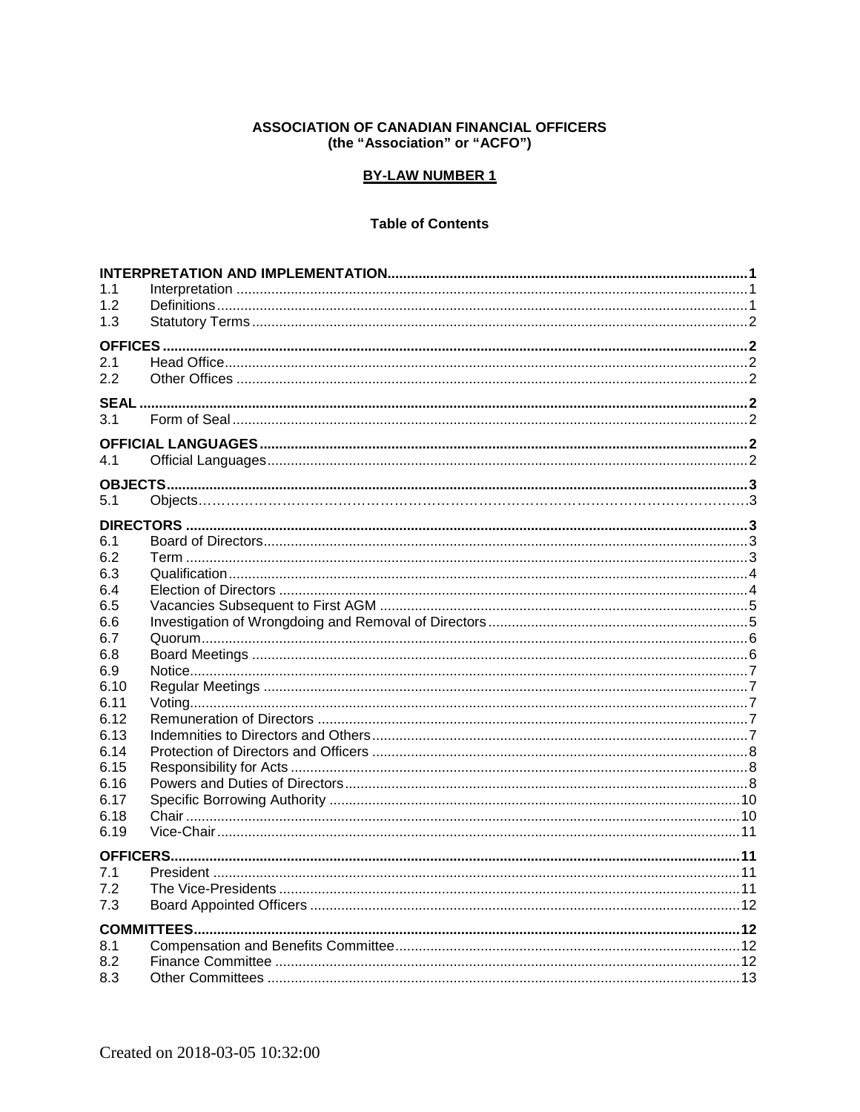## **ASSOCIATION OF CANADIAN FINANCIAL OFFICERS** (the "Association" or "ACFO")

## **BY-LAW NUMBER 1**

## **Table of Contents**

| 1.1            |  |  |  |
|----------------|--|--|--|
| 1.2            |  |  |  |
| 1.3            |  |  |  |
|                |  |  |  |
| 2.1            |  |  |  |
| 2.2            |  |  |  |
|                |  |  |  |
| 3 <sub>1</sub> |  |  |  |
|                |  |  |  |
|                |  |  |  |
| 4.1            |  |  |  |
|                |  |  |  |
| 5.1            |  |  |  |
|                |  |  |  |
|                |  |  |  |
| 6.1            |  |  |  |
| 6.2            |  |  |  |
| 6.3            |  |  |  |
| 6.4            |  |  |  |
| 6.5            |  |  |  |
| 6.6<br>6.7     |  |  |  |
| 6.8            |  |  |  |
| 6.9            |  |  |  |
| 6.10           |  |  |  |
| 6.11           |  |  |  |
| 6.12           |  |  |  |
| 6.13           |  |  |  |
| 6.14           |  |  |  |
| 6.15           |  |  |  |
| 6.16           |  |  |  |
| 6.17           |  |  |  |
| 6.18           |  |  |  |
| 6.19           |  |  |  |
|                |  |  |  |
| 7.1            |  |  |  |
| 7.2            |  |  |  |
| 7.3            |  |  |  |
|                |  |  |  |
|                |  |  |  |
| 8.1            |  |  |  |
| 8.2            |  |  |  |
| 8.3            |  |  |  |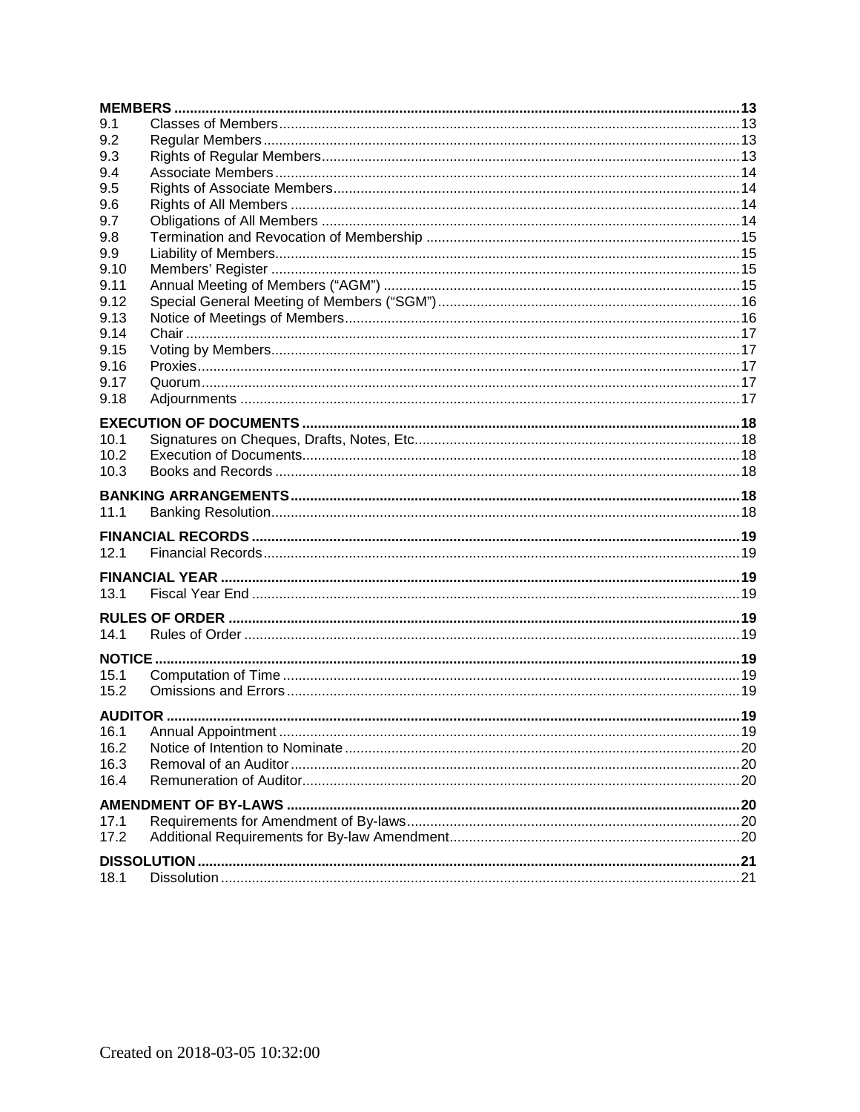| 9.1  |  |  |  |  |
|------|--|--|--|--|
| 9.2  |  |  |  |  |
| 9.3  |  |  |  |  |
| 9.4  |  |  |  |  |
| 9.5  |  |  |  |  |
| 9.6  |  |  |  |  |
| 9.7  |  |  |  |  |
| 9.8  |  |  |  |  |
| 9.9  |  |  |  |  |
| 9.10 |  |  |  |  |
| 9.11 |  |  |  |  |
| 9.12 |  |  |  |  |
| 9.13 |  |  |  |  |
| 9.14 |  |  |  |  |
| 9.15 |  |  |  |  |
| 9.16 |  |  |  |  |
| 9.17 |  |  |  |  |
| 9.18 |  |  |  |  |
|      |  |  |  |  |
| 10.1 |  |  |  |  |
| 10.2 |  |  |  |  |
| 10.3 |  |  |  |  |
|      |  |  |  |  |
|      |  |  |  |  |
| 11.1 |  |  |  |  |
|      |  |  |  |  |
| 12.1 |  |  |  |  |
|      |  |  |  |  |
| 13.1 |  |  |  |  |
|      |  |  |  |  |
|      |  |  |  |  |
| 14.1 |  |  |  |  |
|      |  |  |  |  |
| 15.1 |  |  |  |  |
| 15.2 |  |  |  |  |
|      |  |  |  |  |
|      |  |  |  |  |
| 16.1 |  |  |  |  |
| 16.2 |  |  |  |  |
| 16.3 |  |  |  |  |
| 16.4 |  |  |  |  |
|      |  |  |  |  |
| 17.1 |  |  |  |  |
| 17.2 |  |  |  |  |
|      |  |  |  |  |
|      |  |  |  |  |
| 18.1 |  |  |  |  |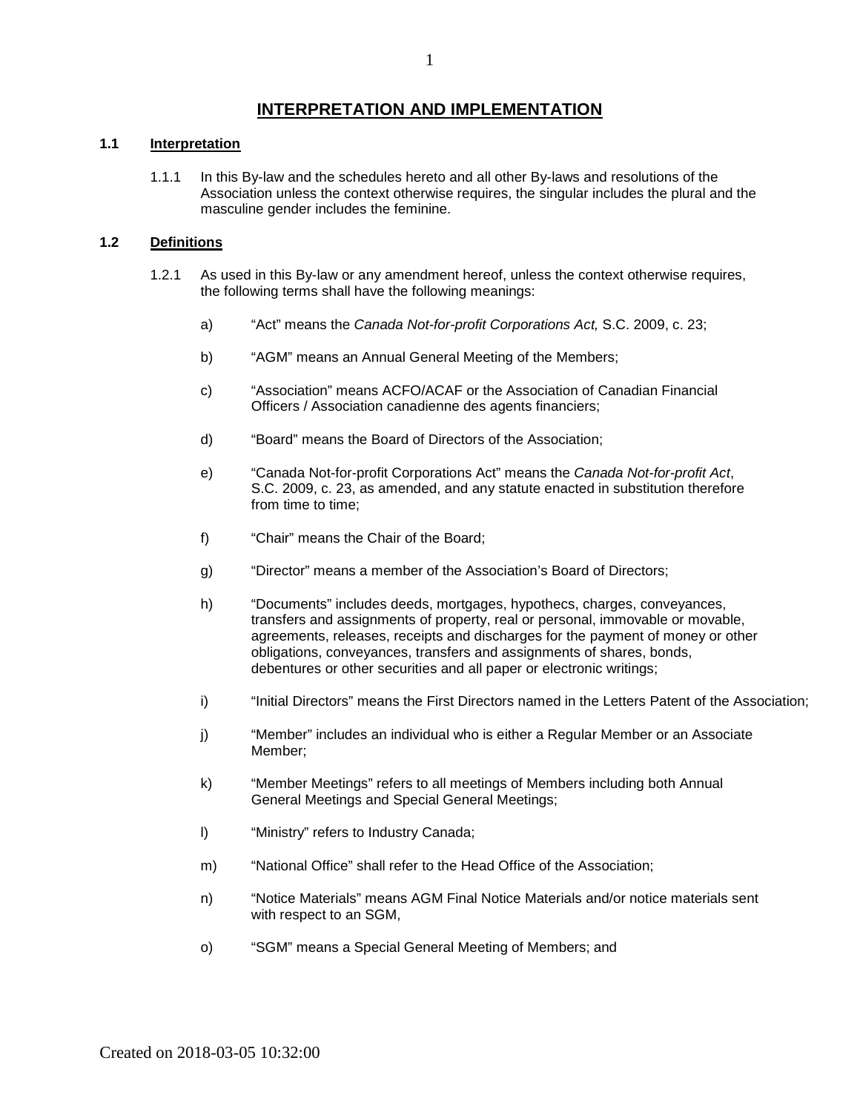# **INTERPRETATION AND IMPLEMENTATION**

#### <span id="page-2-1"></span><span id="page-2-0"></span>**1.1 Interpretation**

1.1.1 In this By-law and the schedules hereto and all other By-laws and resolutions of the Association unless the context otherwise requires, the singular includes the plural and the masculine gender includes the feminine.

#### <span id="page-2-2"></span>**1.2 Definitions**

- 1.2.1 As used in this By-law or any amendment hereof, unless the context otherwise requires, the following terms shall have the following meanings:
	- a) "Act" means the *Canada Not-for-profit Corporations Act,* S.C. 2009, c. 23;
	- b) "AGM" means an Annual General Meeting of the Members;
	- c) "Association" means ACFO/ACAF or the Association of Canadian Financial Officers / Association canadienne des agents financiers;
	- d) "Board" means the Board of Directors of the Association;
	- e) "Canada Not-for-profit Corporations Act" means the *Canada Not-for-profit Act*, S.C. 2009, c. 23, as amended, and any statute enacted in substitution therefore from time to time;
	- f) "Chair" means the Chair of the Board;
	- g) "Director" means a member of the Association's Board of Directors;
	- h) "Documents" includes deeds, mortgages, hypothecs, charges, conveyances, transfers and assignments of property, real or personal, immovable or movable, agreements, releases, receipts and discharges for the payment of money or other obligations, conveyances, transfers and assignments of shares, bonds, debentures or other securities and all paper or electronic writings;
	- i) "Initial Directors" means the First Directors named in the Letters Patent of the Association;
	- j) "Member" includes an individual who is either a Regular Member or an Associate Member;
	- k) "Member Meetings" refers to all meetings of Members including both Annual General Meetings and Special General Meetings;
	- l) "Ministry" refers to Industry Canada;
	- m) "National Office" shall refer to the Head Office of the Association;
	- n) "Notice Materials" means AGM Final Notice Materials and/or notice materials sent with respect to an SGM,
	- o) "SGM" means a Special General Meeting of Members; and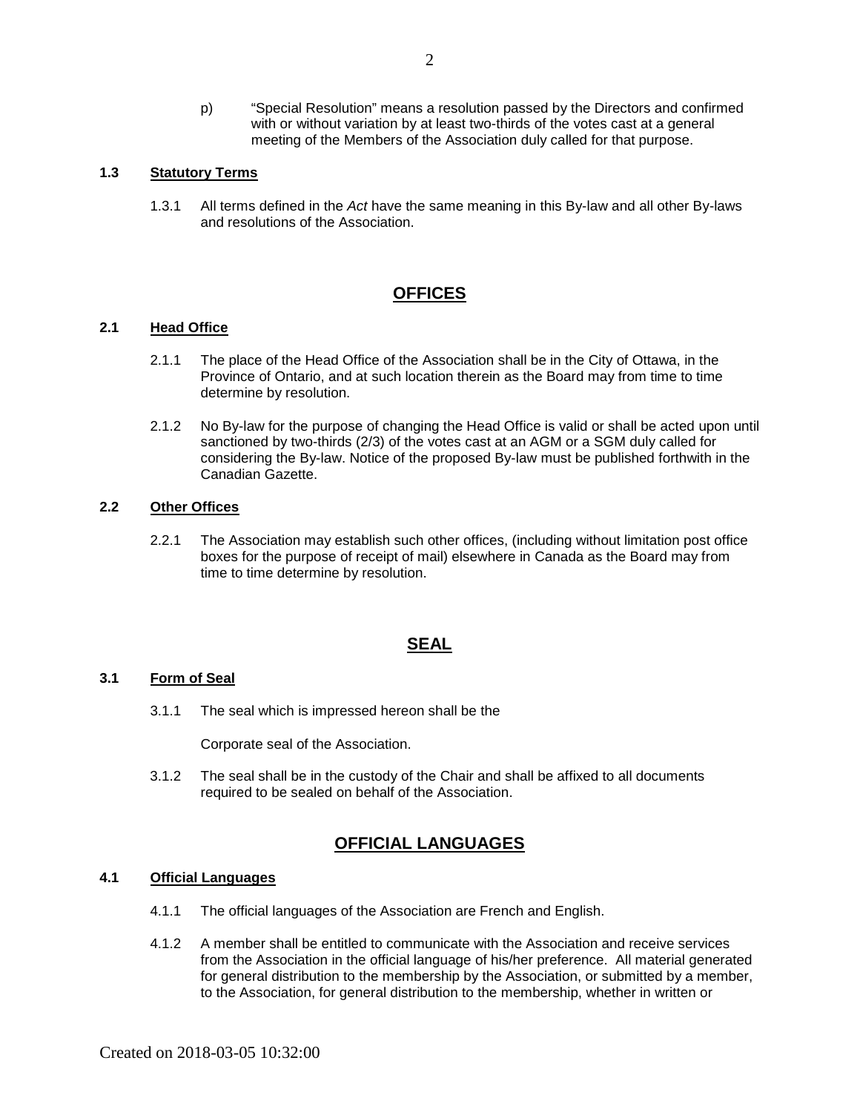p) "Special Resolution" means a resolution passed by the Directors and confirmed with or without variation by at least two-thirds of the votes cast at a general meeting of the Members of the Association duly called for that purpose.

### <span id="page-3-0"></span>**1.3 Statutory Terms**

1.3.1 All terms defined in the *Act* have the same meaning in this By-law and all other By-laws and resolutions of the Association.

## **OFFICES**

#### <span id="page-3-2"></span><span id="page-3-1"></span>**2.1 Head Office**

- 2.1.1 The place of the Head Office of the Association shall be in the City of Ottawa, in the Province of Ontario, and at such location therein as the Board may from time to time determine by resolution.
- 2.1.2 No By-law for the purpose of changing the Head Office is valid or shall be acted upon until sanctioned by two-thirds (2/3) of the votes cast at an AGM or a SGM duly called for considering the By-law. Notice of the proposed By-law must be published forthwith in the Canadian Gazette.

#### <span id="page-3-3"></span>**2.2 Other Offices**

2.2.1 The Association may establish such other offices, (including without limitation post office boxes for the purpose of receipt of mail) elsewhere in Canada as the Board may from time to time determine by resolution.

#### **SEAL**

#### <span id="page-3-5"></span><span id="page-3-4"></span>**3.1 Form of Seal**

3.1.1 The seal which is impressed hereon shall be the

Corporate seal of the Association.

3.1.2 The seal shall be in the custody of the Chair and shall be affixed to all documents required to be sealed on behalf of the Association.

## **OFFICIAL LANGUAGES**

#### <span id="page-3-7"></span><span id="page-3-6"></span>**4.1 Official Languages**

- 4.1.1 The official languages of the Association are French and English.
- 4.1.2 A member shall be entitled to communicate with the Association and receive services from the Association in the official language of his/her preference. All material generated for general distribution to the membership by the Association, or submitted by a member, to the Association, for general distribution to the membership, whether in written or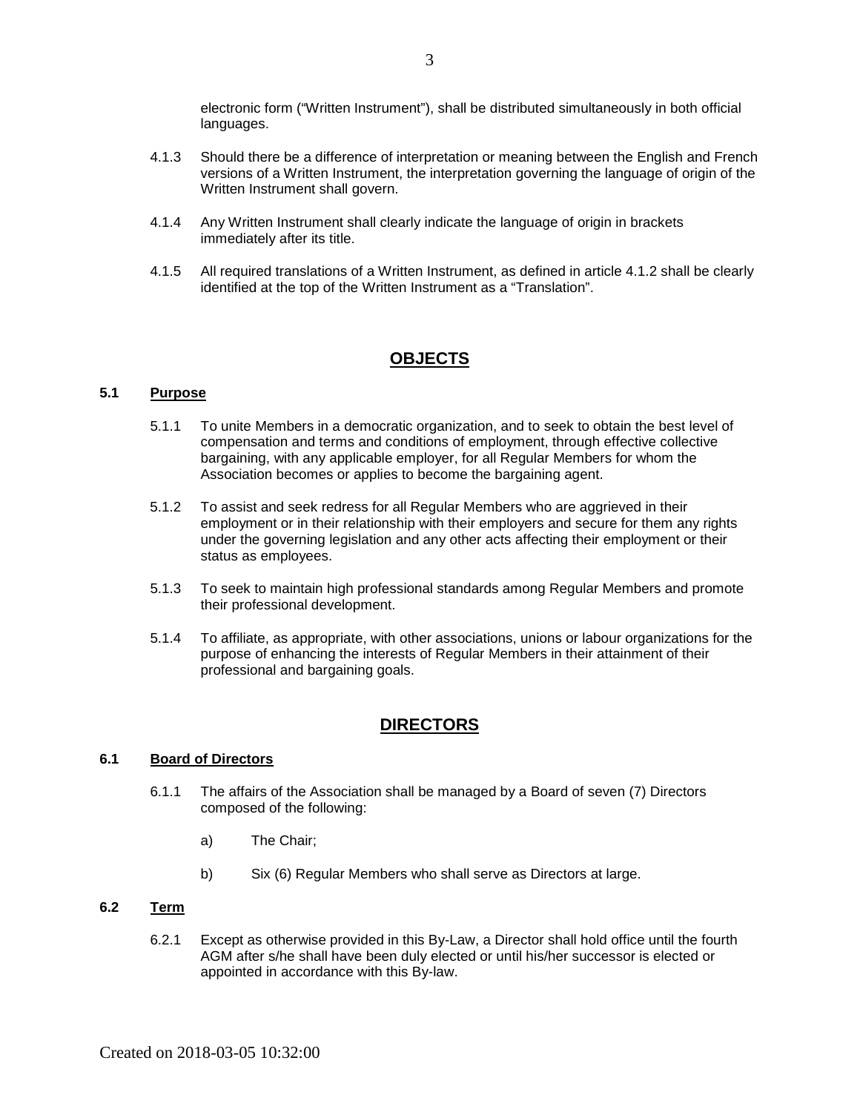electronic form ("Written Instrument"), shall be distributed simultaneously in both official languages.

- 4.1.3 Should there be a difference of interpretation or meaning between the English and French versions of a Written Instrument, the interpretation governing the language of origin of the Written Instrument shall govern.
- 4.1.4 Any Written Instrument shall clearly indicate the language of origin in brackets immediately after its title.
- 4.1.5 All required translations of a Written Instrument, as defined in article 4.1.2 shall be clearly identified at the top of the Written Instrument as a "Translation".

## **OBJECTS**

## <span id="page-4-0"></span>**5.1 Purpose**

- 5.1.1 To unite Members in a democratic organization, and to seek to obtain the best level of compensation and terms and conditions of employment, through effective collective bargaining, with any applicable employer, for all Regular Members for whom the Association becomes or applies to become the bargaining agent.
- 5.1.2 To assist and seek redress for all Regular Members who are aggrieved in their employment or in their relationship with their employers and secure for them any rights under the governing legislation and any other acts affecting their employment or their status as employees.
- 5.1.3 To seek to maintain high professional standards among Regular Members and promote their professional development.
- 5.1.4 To affiliate, as appropriate, with other associations, unions or labour organizations for the purpose of enhancing the interests of Regular Members in their attainment of their professional and bargaining goals.

# **DIRECTORS**

### <span id="page-4-2"></span><span id="page-4-1"></span>**6.1 Board of Directors**

- 6.1.1 The affairs of the Association shall be managed by a Board of seven (7) Directors composed of the following:
	- a) The Chair;
	- b) Six (6) Regular Members who shall serve as Directors at large.

## <span id="page-4-3"></span>**6.2 Term**

6.2.1 Except as otherwise provided in this By-Law, a Director shall hold office until the fourth AGM after s/he shall have been duly elected or until his/her successor is elected or appointed in accordance with this By-law.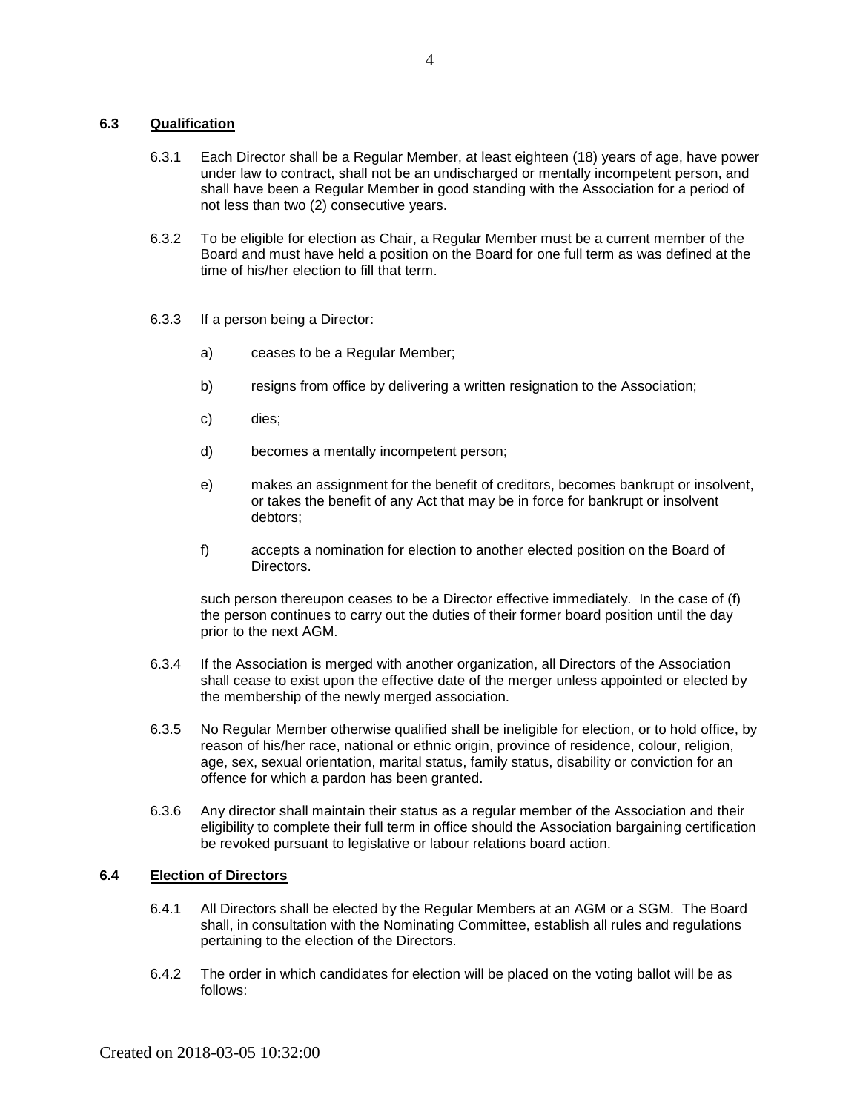#### <span id="page-5-0"></span>**6.3 Qualification**

- 6.3.1 Each Director shall be a Regular Member, at least eighteen (18) years of age, have power under law to contract, shall not be an undischarged or mentally incompetent person, and shall have been a Regular Member in good standing with the Association for a period of not less than two (2) consecutive years.
- 6.3.2 To be eligible for election as Chair, a Regular Member must be a current member of the Board and must have held a position on the Board for one full term as was defined at the time of his/her election to fill that term.
- 6.3.3 If a person being a Director:
	- a) ceases to be a Regular Member;
	- b) resigns from office by delivering a written resignation to the Association;
	- c) dies;
	- d) becomes a mentally incompetent person;
	- e) makes an assignment for the benefit of creditors, becomes bankrupt or insolvent, or takes the benefit of any Act that may be in force for bankrupt or insolvent debtors;
	- f) accepts a nomination for election to another elected position on the Board of Directors.

such person thereupon ceases to be a Director effective immediately. In the case of (f) the person continues to carry out the duties of their former board position until the day prior to the next AGM.

- 6.3.4 If the Association is merged with another organization, all Directors of the Association shall cease to exist upon the effective date of the merger unless appointed or elected by the membership of the newly merged association.
- 6.3.5 No Regular Member otherwise qualified shall be ineligible for election, or to hold office, by reason of his/her race, national or ethnic origin, province of residence, colour, religion, age, sex, sexual orientation, marital status, family status, disability or conviction for an offence for which a pardon has been granted.
- 6.3.6 Any director shall maintain their status as a regular member of the Association and their eligibility to complete their full term in office should the Association bargaining certification be revoked pursuant to legislative or labour relations board action.

#### <span id="page-5-1"></span>**6.4 Election of Directors**

- 6.4.1 All Directors shall be elected by the Regular Members at an AGM or a SGM. The Board shall, in consultation with the Nominating Committee, establish all rules and regulations pertaining to the election of the Directors.
- 6.4.2 The order in which candidates for election will be placed on the voting ballot will be as follows: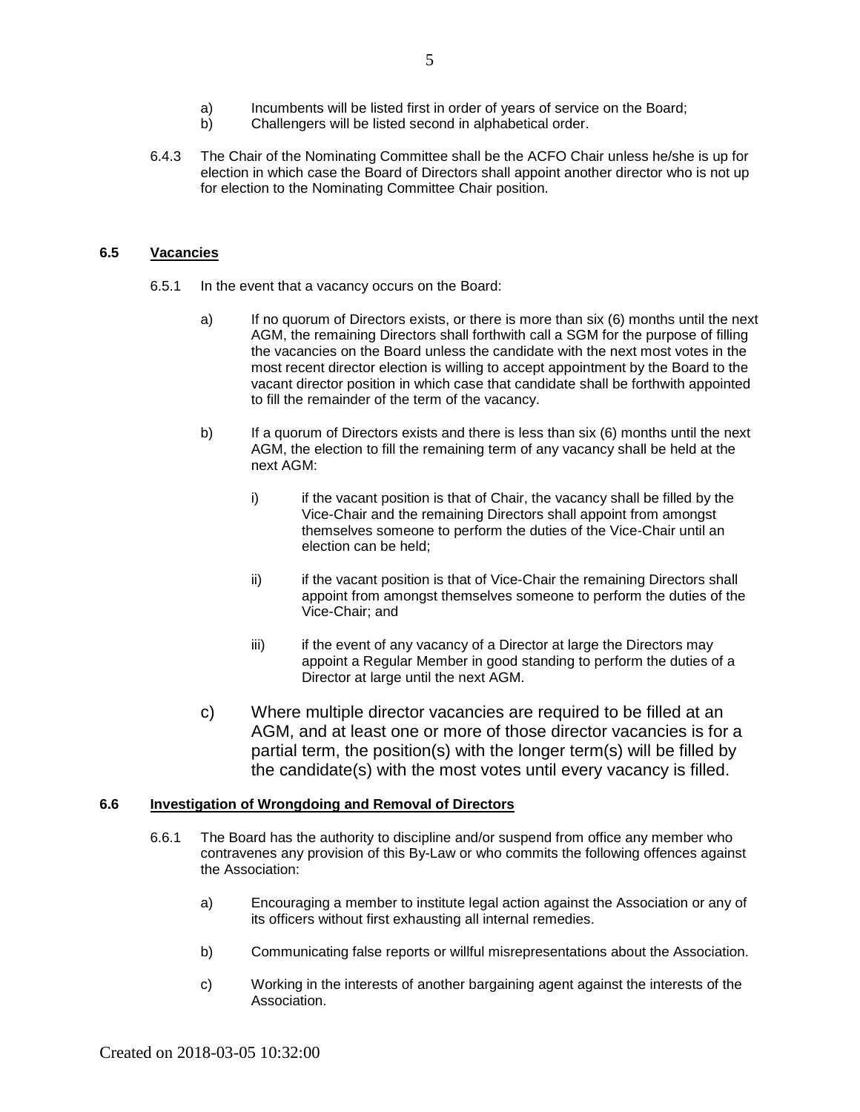- a) Incumbents will be listed first in order of years of service on the Board;<br>b) Challengers will be listed second in alphabetical order.
- Challengers will be listed second in alphabetical order.
- 6.4.3 The Chair of the Nominating Committee shall be the ACFO Chair unless he/she is up for election in which case the Board of Directors shall appoint another director who is not up for election to the Nominating Committee Chair position.

#### <span id="page-6-0"></span>**6.5 Vacancies**

- 6.5.1 In the event that a vacancy occurs on the Board:
	- a) If no quorum of Directors exists, or there is more than six (6) months until the next AGM, the remaining Directors shall forthwith call a SGM for the purpose of filling the vacancies on the Board unless the candidate with the next most votes in the most recent director election is willing to accept appointment by the Board to the vacant director position in which case that candidate shall be forthwith appointed to fill the remainder of the term of the vacancy.
	- b) If a quorum of Directors exists and there is less than six (6) months until the next AGM, the election to fill the remaining term of any vacancy shall be held at the next AGM:
		- i) if the vacant position is that of Chair, the vacancy shall be filled by the Vice-Chair and the remaining Directors shall appoint from amongst themselves someone to perform the duties of the Vice-Chair until an election can be held;
		- ii) if the vacant position is that of Vice-Chair the remaining Directors shall appoint from amongst themselves someone to perform the duties of the Vice-Chair; and
		- iii) iii) if the event of any vacancy of a Director at large the Directors may appoint a Regular Member in good standing to perform the duties of a Director at large until the next AGM.
	- c) Where multiple director vacancies are required to be filled at an AGM, and at least one or more of those director vacancies is for a partial term, the position(s) with the longer term(s) will be filled by the candidate(s) with the most votes until every vacancy is filled.

#### <span id="page-6-1"></span>**6.6 Investigation of Wrongdoing and Removal of Directors**

- 6.6.1 The Board has the authority to discipline and/or suspend from office any member who contravenes any provision of this By-Law or who commits the following offences against the Association:
	- a) Encouraging a member to institute legal action against the Association or any of its officers without first exhausting all internal remedies.
	- b) Communicating false reports or willful misrepresentations about the Association.
	- c) Working in the interests of another bargaining agent against the interests of the Association.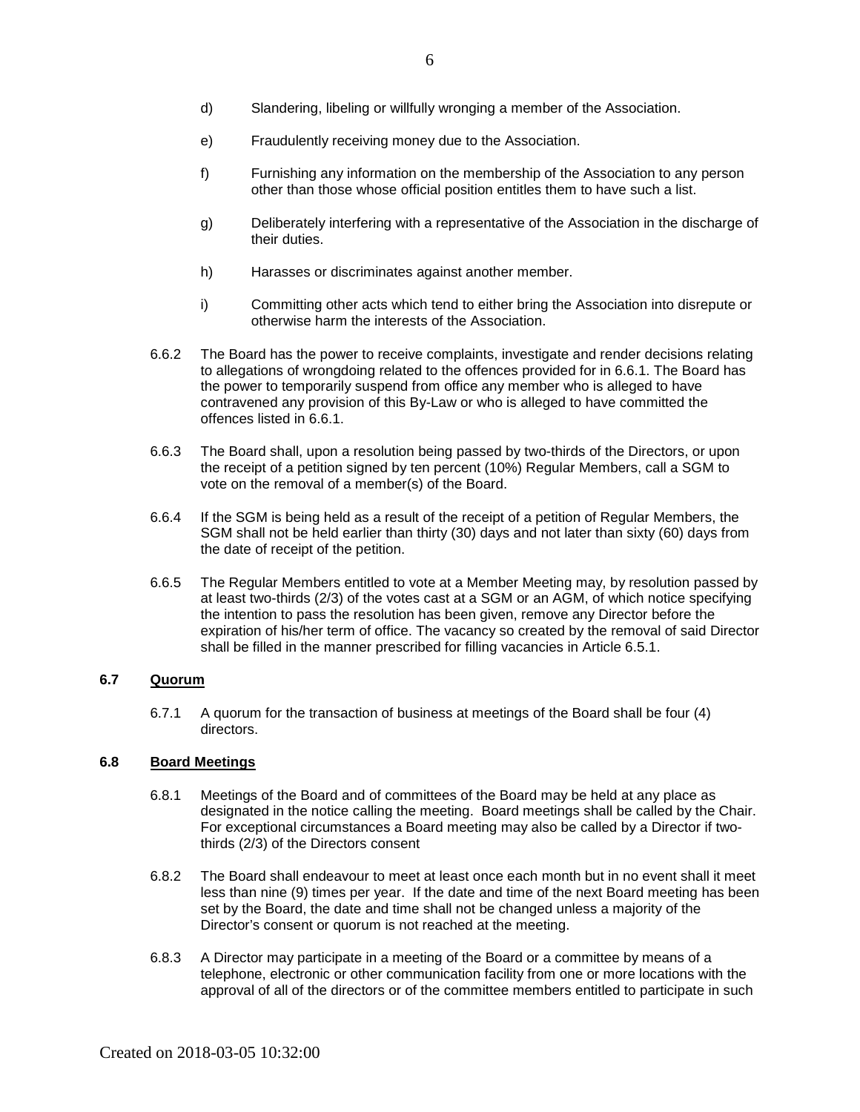- d) Slandering, libeling or willfully wronging a member of the Association.
- e) Fraudulently receiving money due to the Association.
- f) Furnishing any information on the membership of the Association to any person other than those whose official position entitles them to have such a list.
- g) Deliberately interfering with a representative of the Association in the discharge of their duties.
- h) Harasses or discriminates against another member.
- i) Committing other acts which tend to either bring the Association into disrepute or otherwise harm the interests of the Association.
- 6.6.2 The Board has the power to receive complaints, investigate and render decisions relating to allegations of wrongdoing related to the offences provided for in 6.6.1. The Board has the power to temporarily suspend from office any member who is alleged to have contravened any provision of this By-Law or who is alleged to have committed the offences listed in 6.6.1.
- 6.6.3 The Board shall, upon a resolution being passed by two-thirds of the Directors, or upon the receipt of a petition signed by ten percent (10%) Regular Members, call a SGM to vote on the removal of a member(s) of the Board.
- 6.6.4 If the SGM is being held as a result of the receipt of a petition of Regular Members, the SGM shall not be held earlier than thirty (30) days and not later than sixty (60) days from the date of receipt of the petition.
- 6.6.5 The Regular Members entitled to vote at a Member Meeting may, by resolution passed by at least two-thirds (2/3) of the votes cast at a SGM or an AGM, of which notice specifying the intention to pass the resolution has been given, remove any Director before the expiration of his/her term of office. The vacancy so created by the removal of said Director shall be filled in the manner prescribed for filling vacancies in Article 6.5.1.

## <span id="page-7-0"></span>**6.7 Quorum**

6.7.1 A quorum for the transaction of business at meetings of the Board shall be four (4) directors.

#### <span id="page-7-1"></span>**6.8 Board Meetings**

- 6.8.1 Meetings of the Board and of committees of the Board may be held at any place as designated in the notice calling the meeting. Board meetings shall be called by the Chair. For exceptional circumstances a Board meeting may also be called by a Director if twothirds (2/3) of the Directors consent
- 6.8.2 The Board shall endeavour to meet at least once each month but in no event shall it meet less than nine (9) times per year. If the date and time of the next Board meeting has been set by the Board, the date and time shall not be changed unless a majority of the Director's consent or quorum is not reached at the meeting.
- 6.8.3 A Director may participate in a meeting of the Board or a committee by means of a telephone, electronic or other communication facility from one or more locations with the approval of all of the directors or of the committee members entitled to participate in such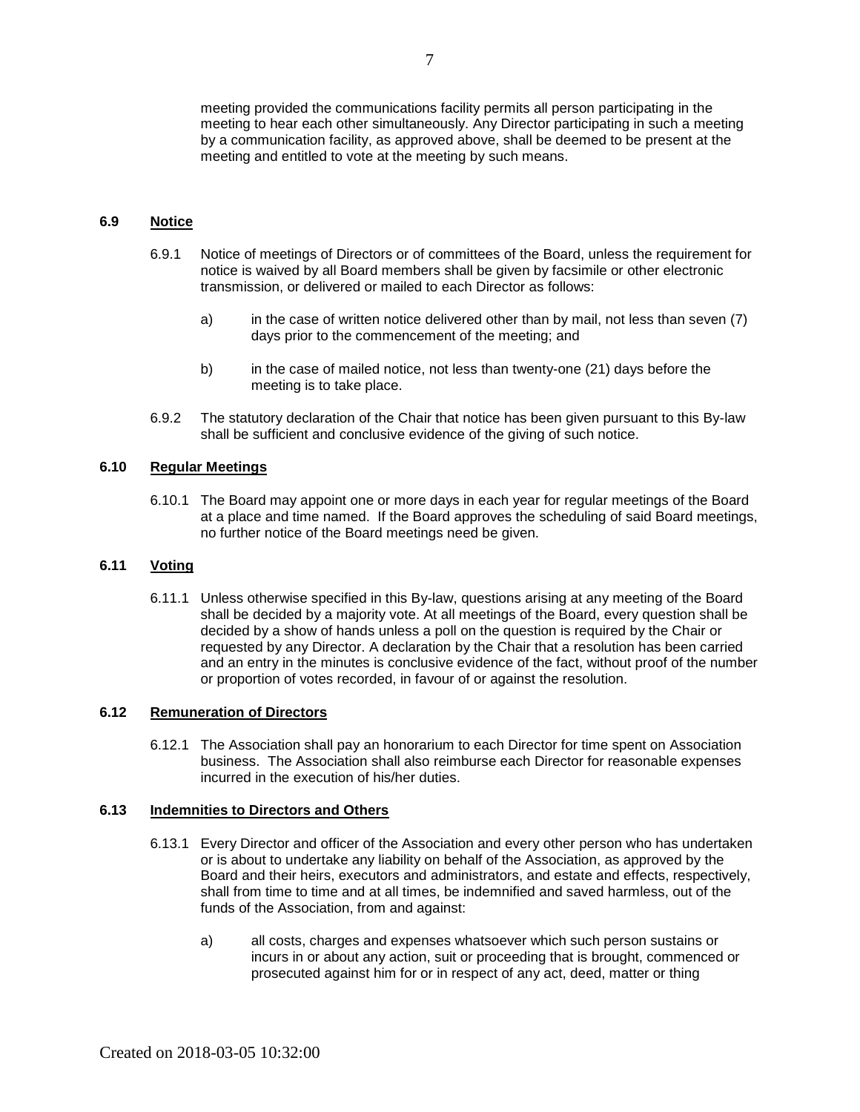meeting provided the communications facility permits all person participating in the meeting to hear each other simultaneously. Any Director participating in such a meeting by a communication facility, as approved above, shall be deemed to be present at the meeting and entitled to vote at the meeting by such means.

#### <span id="page-8-0"></span>**6.9 Notice**

- 6.9.1 Notice of meetings of Directors or of committees of the Board, unless the requirement for notice is waived by all Board members shall be given by facsimile or other electronic transmission, or delivered or mailed to each Director as follows:
	- a) in the case of written notice delivered other than by mail, not less than seven (7) days prior to the commencement of the meeting; and
	- b) in the case of mailed notice, not less than twenty-one (21) days before the meeting is to take place.
- 6.9.2 The statutory declaration of the Chair that notice has been given pursuant to this By-law shall be sufficient and conclusive evidence of the giving of such notice.

#### <span id="page-8-1"></span>**6.10 Regular Meetings**

6.10.1 The Board may appoint one or more days in each year for regular meetings of the Board at a place and time named. If the Board approves the scheduling of said Board meetings, no further notice of the Board meetings need be given.

#### <span id="page-8-2"></span>**6.11 Voting**

6.11.1 Unless otherwise specified in this By-law, questions arising at any meeting of the Board shall be decided by a majority vote. At all meetings of the Board, every question shall be decided by a show of hands unless a poll on the question is required by the Chair or requested by any Director. A declaration by the Chair that a resolution has been carried and an entry in the minutes is conclusive evidence of the fact, without proof of the number or proportion of votes recorded, in favour of or against the resolution.

#### <span id="page-8-3"></span>**6.12 Remuneration of Directors**

6.12.1 The Association shall pay an honorarium to each Director for time spent on Association business. The Association shall also reimburse each Director for reasonable expenses incurred in the execution of his/her duties.

### <span id="page-8-4"></span>**6.13 Indemnities to Directors and Others**

- 6.13.1 Every Director and officer of the Association and every other person who has undertaken or is about to undertake any liability on behalf of the Association, as approved by the Board and their heirs, executors and administrators, and estate and effects, respectively, shall from time to time and at all times, be indemnified and saved harmless, out of the funds of the Association, from and against:
	- a) all costs, charges and expenses whatsoever which such person sustains or incurs in or about any action, suit or proceeding that is brought, commenced or prosecuted against him for or in respect of any act, deed, matter or thing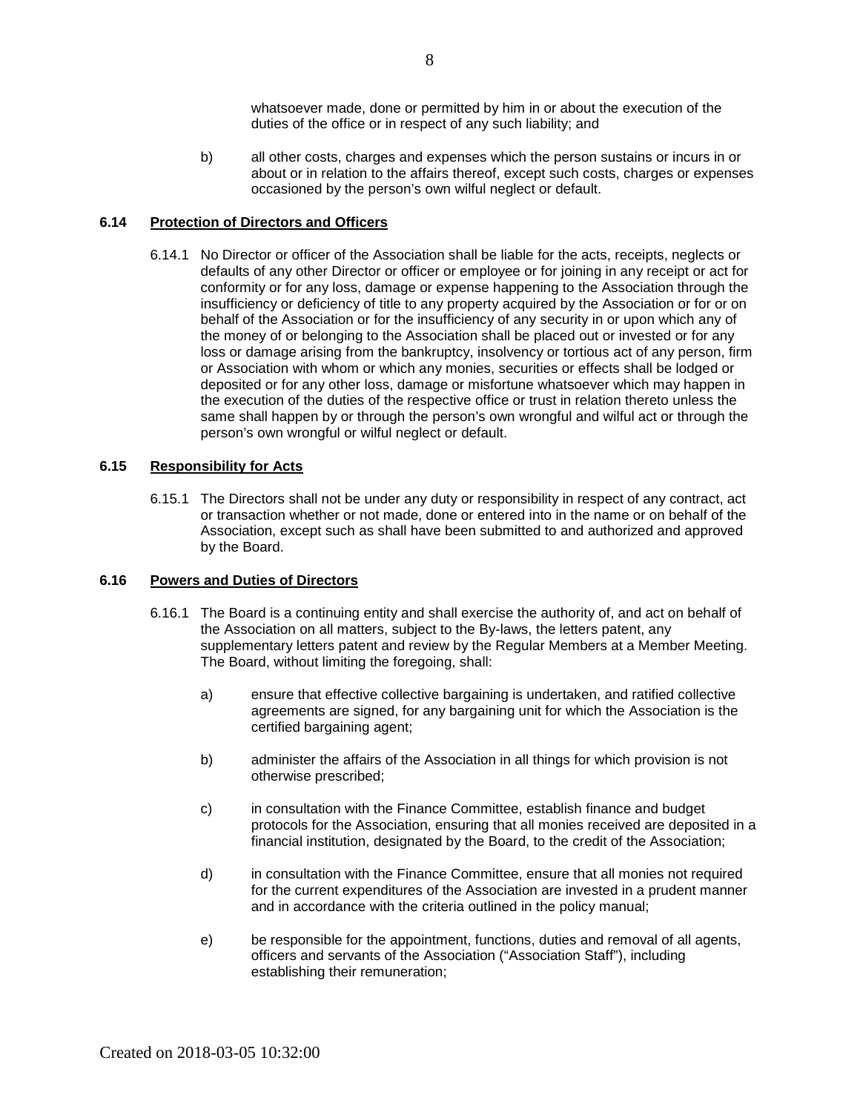whatsoever made, done or permitted by him in or about the execution of the duties of the office or in respect of any such liability; and

b) all other costs, charges and expenses which the person sustains or incurs in or about or in relation to the affairs thereof, except such costs, charges or expenses occasioned by the person's own wilful neglect or default.

#### <span id="page-9-0"></span>**6.14 Protection of Directors and Officers**

6.14.1 No Director or officer of the Association shall be liable for the acts, receipts, neglects or defaults of any other Director or officer or employee or for joining in any receipt or act for conformity or for any loss, damage or expense happening to the Association through the insufficiency or deficiency of title to any property acquired by the Association or for or on behalf of the Association or for the insufficiency of any security in or upon which any of the money of or belonging to the Association shall be placed out or invested or for any loss or damage arising from the bankruptcy, insolvency or tortious act of any person, firm or Association with whom or which any monies, securities or effects shall be lodged or deposited or for any other loss, damage or misfortune whatsoever which may happen in the execution of the duties of the respective office or trust in relation thereto unless the same shall happen by or through the person's own wrongful and wilful act or through the person's own wrongful or wilful neglect or default.

## <span id="page-9-1"></span>**6.15 Responsibility for Acts**

6.15.1 The Directors shall not be under any duty or responsibility in respect of any contract, act or transaction whether or not made, done or entered into in the name or on behalf of the Association, except such as shall have been submitted to and authorized and approved by the Board.

#### <span id="page-9-2"></span>**6.16 Powers and Duties of Directors**

- 6.16.1 The Board is a continuing entity and shall exercise the authority of, and act on behalf of the Association on all matters, subject to the By-laws, the letters patent, any supplementary letters patent and review by the Regular Members at a Member Meeting. The Board, without limiting the foregoing, shall:
	- a) ensure that effective collective bargaining is undertaken, and ratified collective agreements are signed, for any bargaining unit for which the Association is the certified bargaining agent;
	- b) administer the affairs of the Association in all things for which provision is not otherwise prescribed;
	- c) in consultation with the Finance Committee, establish finance and budget protocols for the Association, ensuring that all monies received are deposited in a financial institution, designated by the Board, to the credit of the Association;
	- d) in consultation with the Finance Committee, ensure that all monies not required for the current expenditures of the Association are invested in a prudent manner and in accordance with the criteria outlined in the policy manual;
	- e) be responsible for the appointment, functions, duties and removal of all agents, officers and servants of the Association ("Association Staff"), including establishing their remuneration;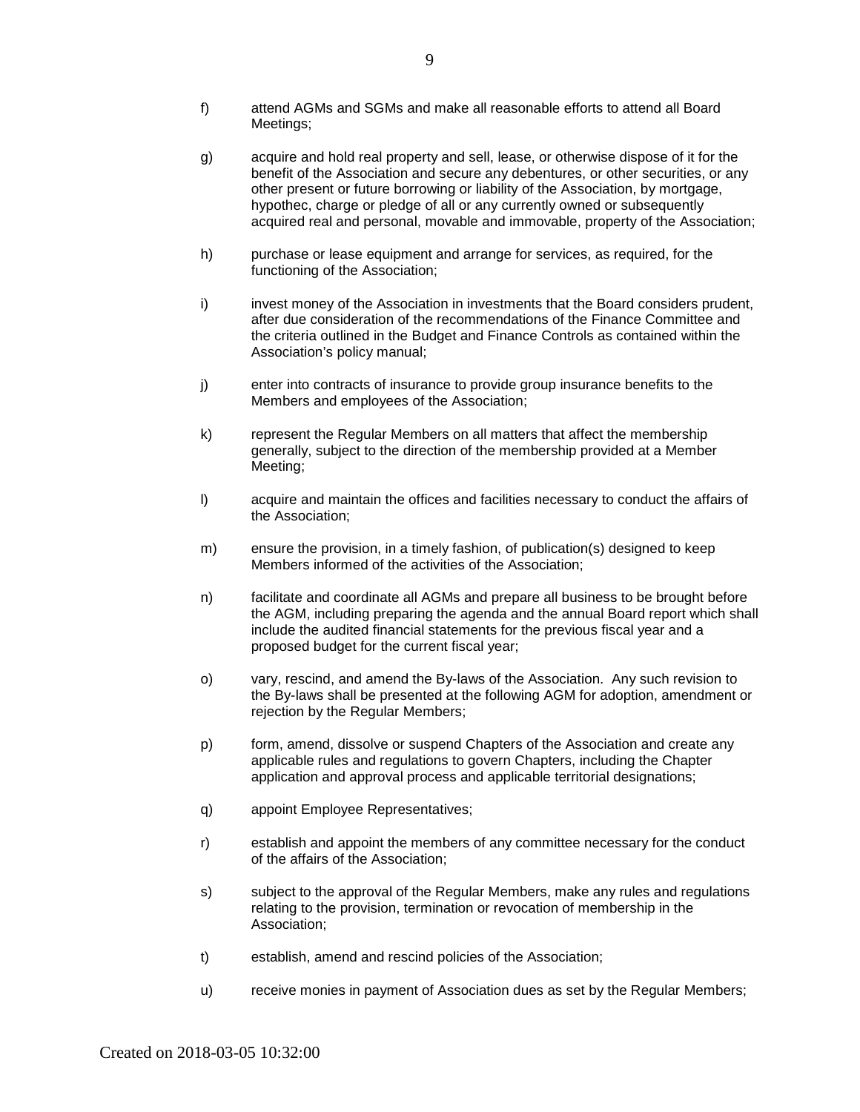- f) attend AGMs and SGMs and make all reasonable efforts to attend all Board Meetings;
- g) acquire and hold real property and sell, lease, or otherwise dispose of it for the benefit of the Association and secure any debentures, or other securities, or any other present or future borrowing or liability of the Association, by mortgage, hypothec, charge or pledge of all or any currently owned or subsequently acquired real and personal, movable and immovable, property of the Association;
- h) purchase or lease equipment and arrange for services, as required, for the functioning of the Association;
- i) invest money of the Association in investments that the Board considers prudent, after due consideration of the recommendations of the Finance Committee and the criteria outlined in the Budget and Finance Controls as contained within the Association's policy manual;
- j) enter into contracts of insurance to provide group insurance benefits to the Members and employees of the Association;
- k) represent the Regular Members on all matters that affect the membership generally, subject to the direction of the membership provided at a Member Meeting;
- l) acquire and maintain the offices and facilities necessary to conduct the affairs of the Association;
- m) ensure the provision, in a timely fashion, of publication(s) designed to keep Members informed of the activities of the Association;
- n) facilitate and coordinate all AGMs and prepare all business to be brought before the AGM, including preparing the agenda and the annual Board report which shall include the audited financial statements for the previous fiscal year and a proposed budget for the current fiscal year;
- o) vary, rescind, and amend the By-laws of the Association. Any such revision to the By-laws shall be presented at the following AGM for adoption, amendment or rejection by the Regular Members;
- p) form, amend, dissolve or suspend Chapters of the Association and create any applicable rules and regulations to govern Chapters, including the Chapter application and approval process and applicable territorial designations;
- q) appoint Employee Representatives;
- r) establish and appoint the members of any committee necessary for the conduct of the affairs of the Association;
- s) subject to the approval of the Regular Members, make any rules and regulations relating to the provision, termination or revocation of membership in the Association;
- t) establish, amend and rescind policies of the Association;
- u) receive monies in payment of Association dues as set by the Regular Members;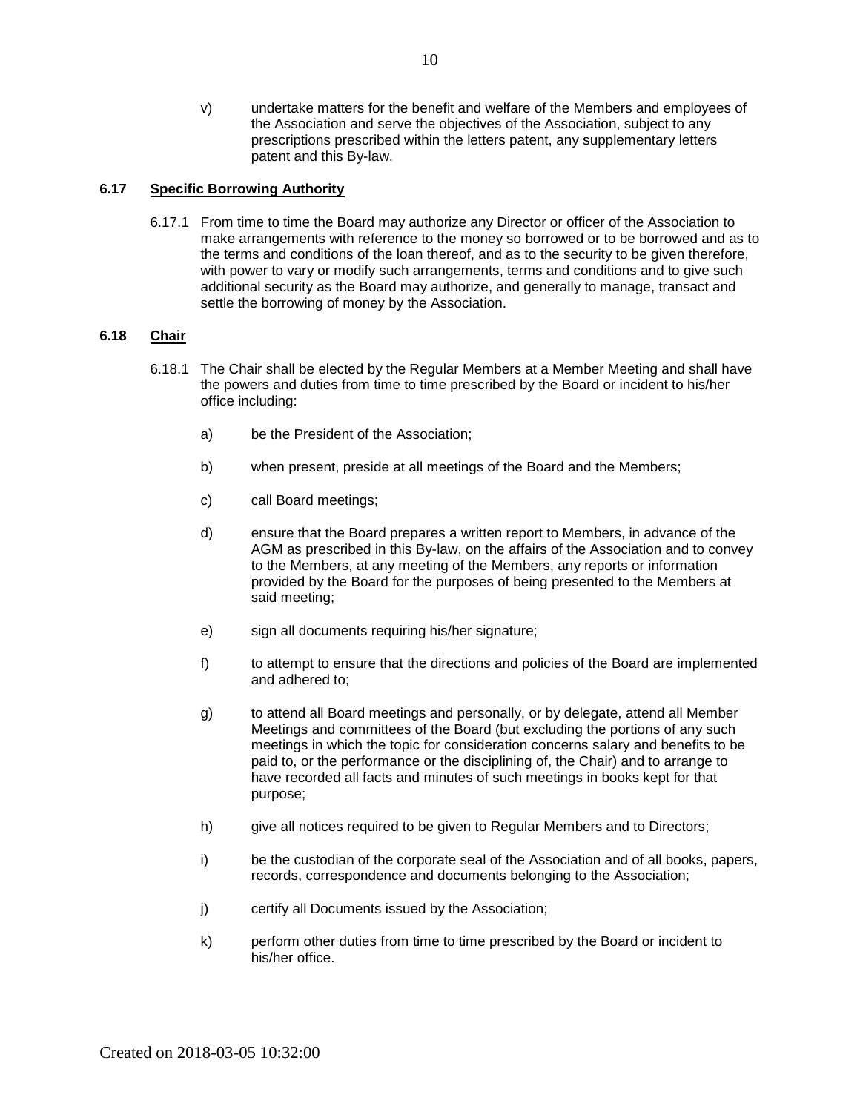v) undertake matters for the benefit and welfare of the Members and employees of the Association and serve the objectives of the Association, subject to any prescriptions prescribed within the letters patent, any supplementary letters patent and this By-law.

### <span id="page-11-0"></span>**6.17 Specific Borrowing Authority**

6.17.1 From time to time the Board may authorize any Director or officer of the Association to make arrangements with reference to the money so borrowed or to be borrowed and as to the terms and conditions of the loan thereof, and as to the security to be given therefore, with power to vary or modify such arrangements, terms and conditions and to give such additional security as the Board may authorize, and generally to manage, transact and settle the borrowing of money by the Association.

### <span id="page-11-1"></span>**6.18 Chair**

- <span id="page-11-2"></span>6.18.1 The Chair shall be elected by the Regular Members at a Member Meeting and shall have the powers and duties from time to time prescribed by the Board or incident to his/her office including:
	- a) be the President of the Association;
	- b) when present, preside at all meetings of the Board and the Members;
	- c) call Board meetings;
	- d) ensure that the Board prepares a written report to Members, in advance of the AGM as prescribed in this By-law, on the affairs of the Association and to convey to the Members, at any meeting of the Members, any reports or information provided by the Board for the purposes of being presented to the Members at said meeting;
	- e) sign all documents requiring his/her signature;
	- f) to attempt to ensure that the directions and policies of the Board are implemented and adhered to;
	- g) to attend all Board meetings and personally, or by delegate, attend all Member Meetings and committees of the Board (but excluding the portions of any such meetings in which the topic for consideration concerns salary and benefits to be paid to, or the performance or the disciplining of, the Chair) and to arrange to have recorded all facts and minutes of such meetings in books kept for that purpose;
	- h) give all notices required to be given to Regular Members and to Directors;
	- i) be the custodian of the corporate seal of the Association and of all books, papers, records, correspondence and documents belonging to the Association;
	- j) certify all Documents issued by the Association;
	- k) perform other duties from time to time prescribed by the Board or incident to his/her office.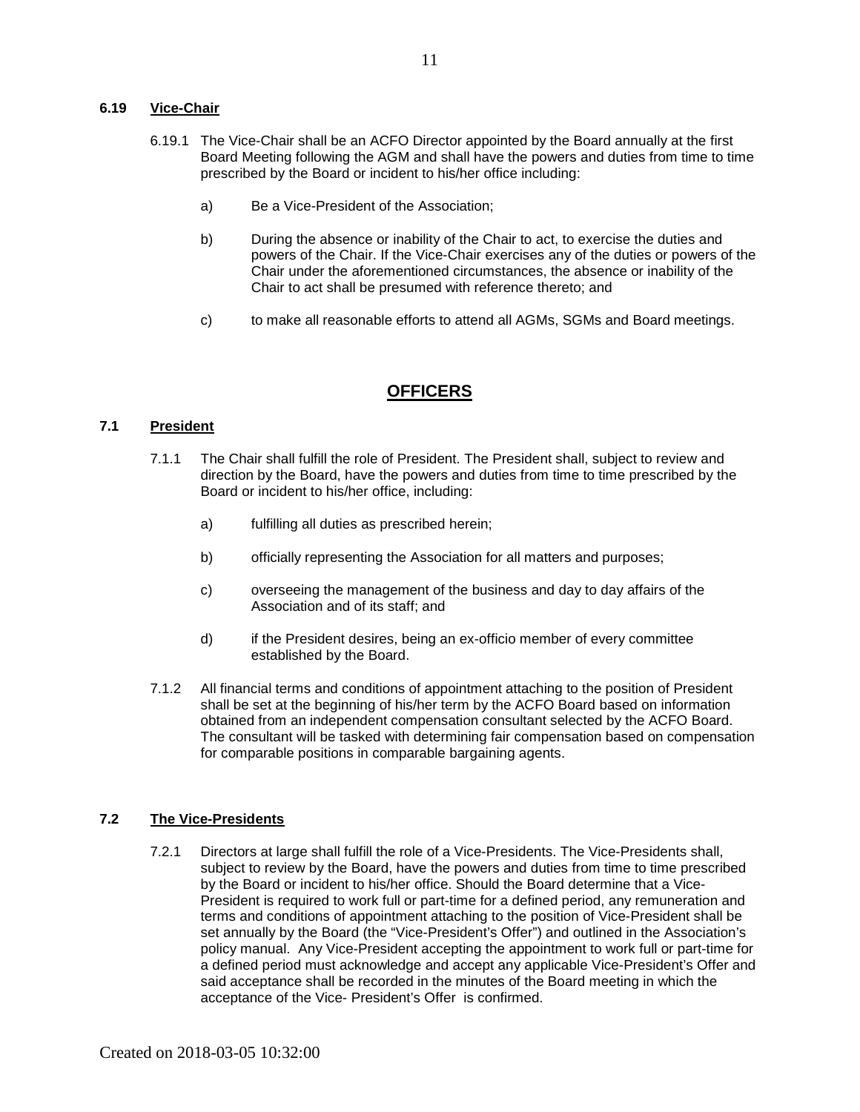#### **6.19 Vice-Chair**

- 6.19.1 The Vice-Chair shall be an ACFO Director appointed by the Board annually at the first Board Meeting following the AGM and shall have the powers and duties from time to time prescribed by the Board or incident to his/her office including:
	- a) Be a Vice-President of the Association;
	- b) During the absence or inability of the Chair to act, to exercise the duties and powers of the Chair. If the Vice-Chair exercises any of the duties or powers of the Chair under the aforementioned circumstances, the absence or inability of the Chair to act shall be presumed with reference thereto; and
	- c) to make all reasonable efforts to attend all AGMs, SGMs and Board meetings.

# **OFFICERS**

### <span id="page-12-1"></span><span id="page-12-0"></span>**7.1 President**

- 7.1.1 The Chair shall fulfill the role of President. The President shall, subject to review and direction by the Board, have the powers and duties from time to time prescribed by the Board or incident to his/her office, including:
	- a) fulfilling all duties as prescribed herein;
	- b) officially representing the Association for all matters and purposes;
	- c) overseeing the management of the business and day to day affairs of the Association and of its staff; and
	- d) if the President desires, being an ex-officio member of every committee established by the Board.
- 7.1.2 All financial terms and conditions of appointment attaching to the position of President shall be set at the beginning of his/her term by the ACFO Board based on information obtained from an independent compensation consultant selected by the ACFO Board. The consultant will be tasked with determining fair compensation based on compensation for comparable positions in comparable bargaining agents.

## <span id="page-12-2"></span>**7.2 The Vice-Presidents**

7.2.1 Directors at large shall fulfill the role of a Vice-Presidents. The Vice-Presidents shall, subject to review by the Board, have the powers and duties from time to time prescribed by the Board or incident to his/her office. Should the Board determine that a Vice-President is required to work full or part-time for a defined period, any remuneration and terms and conditions of appointment attaching to the position of Vice-President shall be set annually by the Board (the "Vice-President's Offer") and outlined in the Association's policy manual. Any Vice-President accepting the appointment to work full or part-time for a defined period must acknowledge and accept any applicable Vice-President's Offer and said acceptance shall be recorded in the minutes of the Board meeting in which the acceptance of the Vice- President's Offer is confirmed.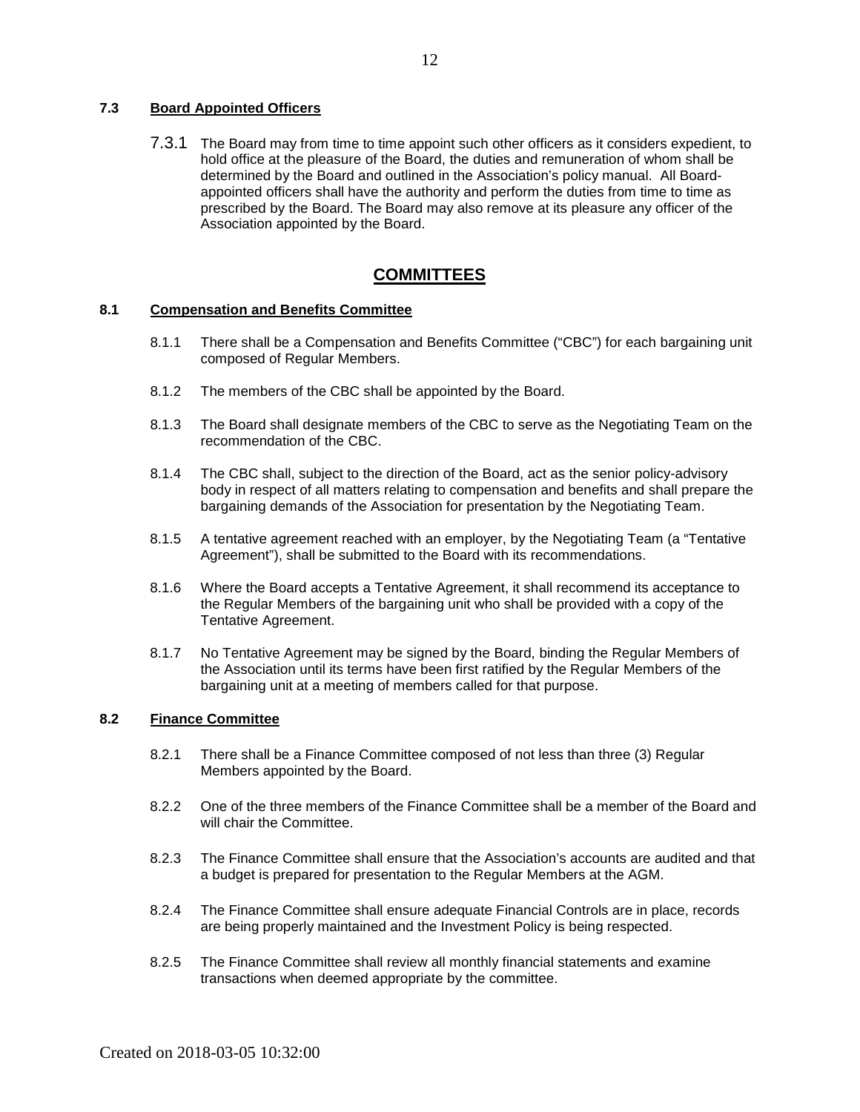### <span id="page-13-0"></span>**7.3 Board Appointed Officers**

7.3.1 The Board may from time to time appoint such other officers as it considers expedient, to hold office at the pleasure of the Board, the duties and remuneration of whom shall be determined by the Board and outlined in the Association's policy manual. All Boardappointed officers shall have the authority and perform the duties from time to time as prescribed by the Board. The Board may also remove at its pleasure any officer of the Association appointed by the Board.

# **COMMITTEES**

### <span id="page-13-2"></span><span id="page-13-1"></span>**8.1 Compensation and Benefits Committee**

- 8.1.1 There shall be a Compensation and Benefits Committee ("CBC") for each bargaining unit composed of Regular Members.
- 8.1.2 The members of the CBC shall be appointed by the Board.
- 8.1.3 The Board shall designate members of the CBC to serve as the Negotiating Team on the recommendation of the CBC.
- 8.1.4 The CBC shall, subject to the direction of the Board, act as the senior policy-advisory body in respect of all matters relating to compensation and benefits and shall prepare the bargaining demands of the Association for presentation by the Negotiating Team.
- 8.1.5 A tentative agreement reached with an employer, by the Negotiating Team (a "Tentative Agreement"), shall be submitted to the Board with its recommendations.
- 8.1.6 Where the Board accepts a Tentative Agreement, it shall recommend its acceptance to the Regular Members of the bargaining unit who shall be provided with a copy of the Tentative Agreement.
- 8.1.7 No Tentative Agreement may be signed by the Board, binding the Regular Members of the Association until its terms have been first ratified by the Regular Members of the bargaining unit at a meeting of members called for that purpose.

## <span id="page-13-3"></span>**8.2 Finance Committee**

- 8.2.1 There shall be a Finance Committee composed of not less than three (3) Regular Members appointed by the Board.
- 8.2.2 One of the three members of the Finance Committee shall be a member of the Board and will chair the Committee.
- 8.2.3 The Finance Committee shall ensure that the Association's accounts are audited and that a budget is prepared for presentation to the Regular Members at the AGM.
- 8.2.4 The Finance Committee shall ensure adequate Financial Controls are in place, records are being properly maintained and the Investment Policy is being respected.
- 8.2.5 The Finance Committee shall review all monthly financial statements and examine transactions when deemed appropriate by the committee.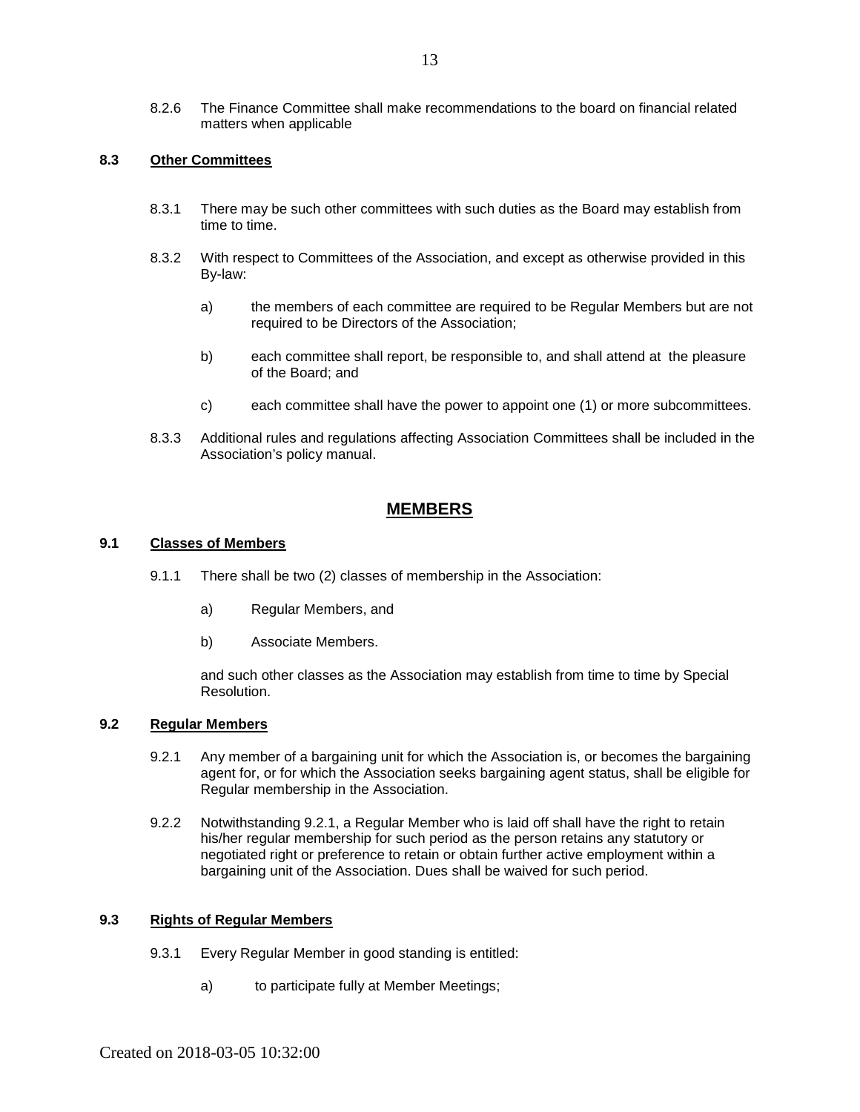#### <span id="page-14-0"></span>**8.3 Other Committees**

- 8.3.1 There may be such other committees with such duties as the Board may establish from time to time.
- 8.3.2 With respect to Committees of the Association, and except as otherwise provided in this By-law:
	- a) the members of each committee are required to be Regular Members but are not required to be Directors of the Association;
	- b) each committee shall report, be responsible to, and shall attend at the pleasure of the Board; and
	- c) each committee shall have the power to appoint one (1) or more subcommittees.
- 8.3.3 Additional rules and regulations affecting Association Committees shall be included in the Association's policy manual.

# **MEMBERS**

### <span id="page-14-2"></span><span id="page-14-1"></span>**9.1 Classes of Members**

- 9.1.1 There shall be two (2) classes of membership in the Association:
	- a) Regular Members, and
	- b) Associate Members.

and such other classes as the Association may establish from time to time by Special Resolution.

#### <span id="page-14-3"></span>**9.2 Regular Members**

- 9.2.1 Any member of a bargaining unit for which the Association is, or becomes the bargaining agent for, or for which the Association seeks bargaining agent status, shall be eligible for Regular membership in the Association.
- 9.2.2 Notwithstanding 9.2.1, a Regular Member who is laid off shall have the right to retain his/her regular membership for such period as the person retains any statutory or negotiated right or preference to retain or obtain further active employment within a bargaining unit of the Association. Dues shall be waived for such period.

#### <span id="page-14-4"></span>**9.3 Rights of Regular Members**

- 9.3.1 Every Regular Member in good standing is entitled:
	- a) to participate fully at Member Meetings;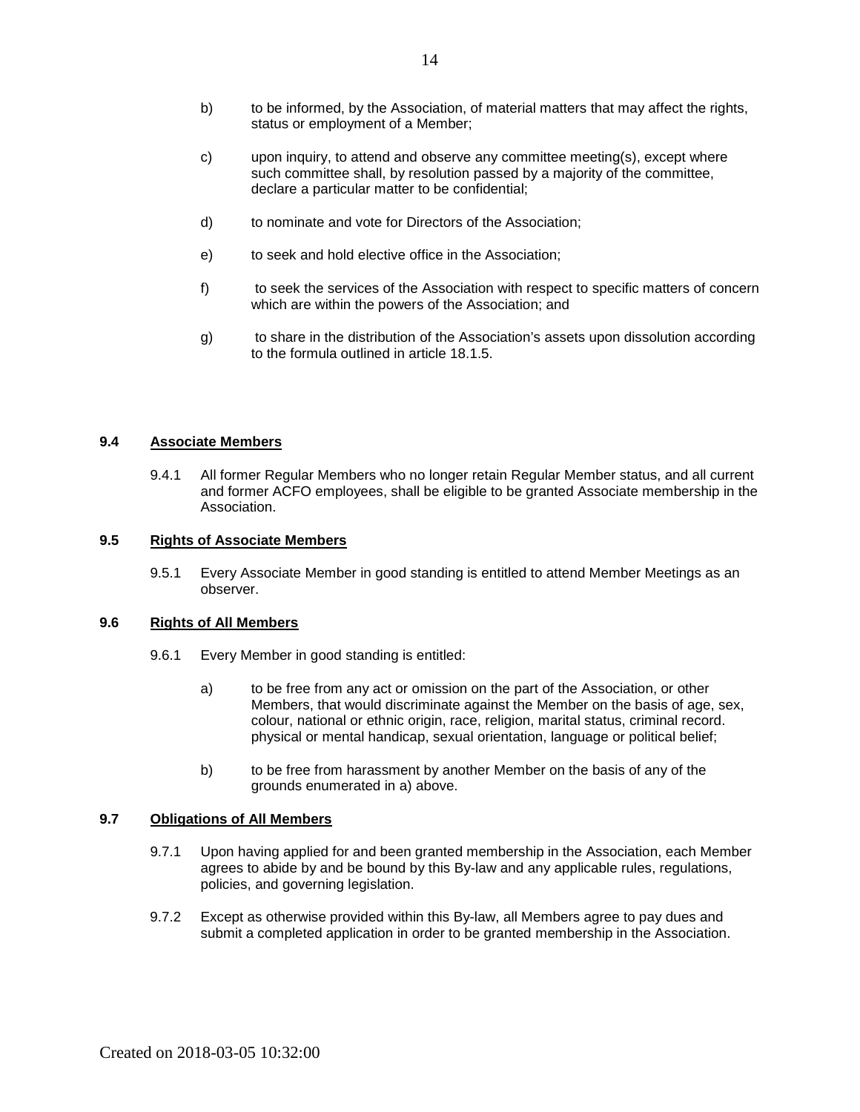- c) upon inquiry, to attend and observe any committee meeting(s), except where such committee shall, by resolution passed by a majority of the committee, declare a particular matter to be confidential;
- d) to nominate and vote for Directors of the Association;
- e) to seek and hold elective office in the Association;
- f) to seek the services of the Association with respect to specific matters of concern which are within the powers of the Association; and
- g) to share in the distribution of the Association's assets upon dissolution according to the formula outlined in article 18.1.5

#### <span id="page-15-0"></span>**9.4 Associate Members**

9.4.1 All former Regular Members who no longer retain Regular Member status, and all current and former ACFO employees, shall be eligible to be granted Associate membership in the Association.

### <span id="page-15-1"></span>**9.5 Rights of Associate Members**

9.5.1 Every Associate Member in good standing is entitled to attend Member Meetings as an observer.

#### <span id="page-15-2"></span>**9.6 Rights of All Members**

- 9.6.1 Every Member in good standing is entitled:
	- a) to be free from any act or omission on the part of the Association, or other Members, that would discriminate against the Member on the basis of age, sex, colour, national or ethnic origin, race, religion, marital status, criminal record. physical or mental handicap, sexual orientation, language or political belief;
	- b) to be free from harassment by another Member on the basis of any of the grounds enumerated in a) above.

#### <span id="page-15-3"></span>**9.7 Obligations of All Members**

- 9.7.1 Upon having applied for and been granted membership in the Association, each Member agrees to abide by and be bound by this By-law and any applicable rules, regulations, policies, and governing legislation.
- <span id="page-15-4"></span>9.7.2 Except as otherwise provided within this By-law, all Members agree to pay dues and submit a completed application in order to be granted membership in the Association.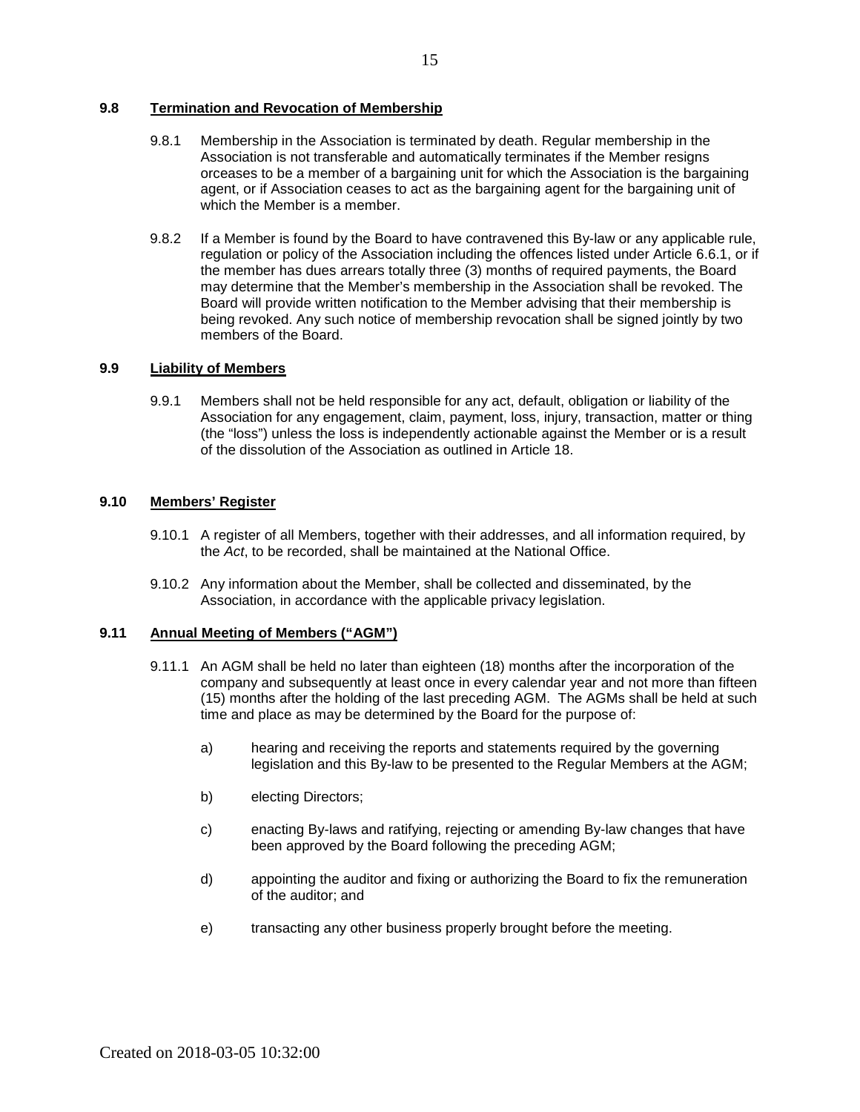#### **9.8 Termination and Revocation of Membership**

- 9.8.1 Membership in the Association is terminated by death. Regular membership in the Association is not transferable and automatically terminates if the Member resigns orceases to be a member of a bargaining unit for which the Association is the bargaining agent, or if Association ceases to act as the bargaining agent for the bargaining unit of which the Member is a member.
- 9.8.2 If a Member is found by the Board to have contravened this By-law or any applicable rule, regulation or policy of the Association including the offences listed under Article 6.6.1, or if the member has dues arrears totally three (3) months of required payments, the Board may determine that the Member's membership in the Association shall be revoked. The Board will provide written notification to the Member advising that their membership is being revoked. Any such notice of membership revocation shall be signed jointly by two members of the Board.

### <span id="page-16-0"></span>**9.9 Liability of Members**

9.9.1 Members shall not be held responsible for any act, default, obligation or liability of the Association for any engagement, claim, payment, loss, injury, transaction, matter or thing (the "loss") unless the loss is independently actionable against the Member or is a result of the dissolution of the Association as outlined in Article 18.

## <span id="page-16-1"></span>**9.10 Members' Register**

- 9.10.1 A register of all Members, together with their addresses, and all information required, by the *Act*, to be recorded, shall be maintained at the National Office.
- 9.10.2 Any information about the Member, shall be collected and disseminated, by the Association, in accordance with the applicable privacy legislation.

#### <span id="page-16-2"></span>**9.11 Annual Meeting of Members ("AGM")**

- <span id="page-16-3"></span>9.11.1 An AGM shall be held no later than eighteen (18) months after the incorporation of the company and subsequently at least once in every calendar year and not more than fifteen (15) months after the holding of the last preceding AGM. The AGMs shall be held at such time and place as may be determined by the Board for the purpose of:
	- a) hearing and receiving the reports and statements required by the governing legislation and this By-law to be presented to the Regular Members at the AGM;
	- b) electing Directors;
	- c) enacting By-laws and ratifying, rejecting or amending By-law changes that have been approved by the Board following the preceding AGM;
	- d) appointing the auditor and fixing or authorizing the Board to fix the remuneration of the auditor; and
	- e) transacting any other business properly brought before the meeting.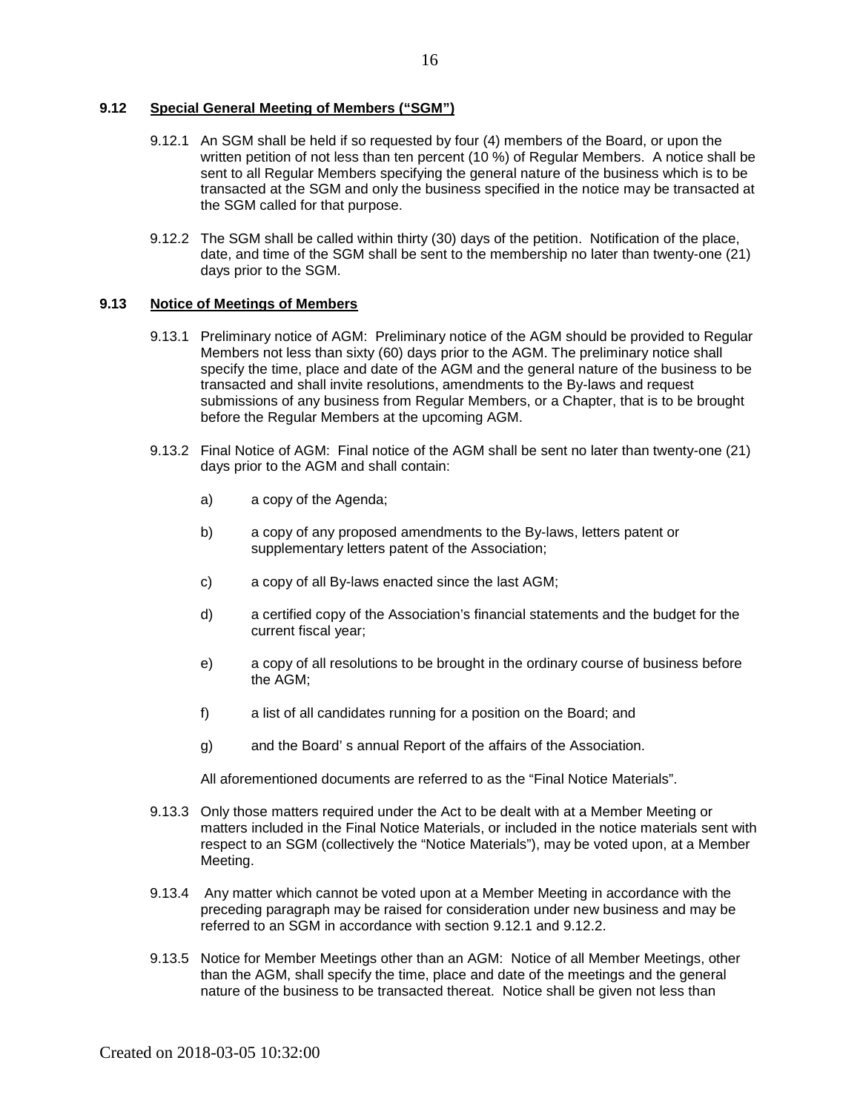#### **9.12 Special General Meeting of Members ("SGM")**

- 9.12.1 An SGM shall be held if so requested by four (4) members of the Board, or upon the written petition of not less than ten percent (10 %) of Regular Members. A notice shall be sent to all Regular Members specifying the general nature of the business which is to be transacted at the SGM and only the business specified in the notice may be transacted at the SGM called for that purpose.
- 9.12.2 The SGM shall be called within thirty (30) days of the petition. Notification of the place, date, and time of the SGM shall be sent to the membership no later than twenty-one (21) days prior to the SGM.

#### <span id="page-17-0"></span>**9.13 Notice of Meetings of Members**

- 9.13.1 Preliminary notice of AGM: Preliminary notice of the AGM should be provided to Regular Members not less than sixty (60) days prior to the AGM. The preliminary notice shall specify the time, place and date of the AGM and the general nature of the business to be transacted and shall invite resolutions, amendments to the By-laws and request submissions of any business from Regular Members, or a Chapter, that is to be brought before the Regular Members at the upcoming AGM.
- 9.13.2 Final Notice of AGM: Final notice of the AGM shall be sent no later than twenty-one (21) days prior to the AGM and shall contain:
	- a) a copy of the Agenda;
	- b) a copy of any proposed amendments to the By-laws, letters patent or supplementary letters patent of the Association;
	- c) a copy of all By-laws enacted since the last AGM;
	- d) a certified copy of the Association's financial statements and the budget for the current fiscal year;
	- e) a copy of all resolutions to be brought in the ordinary course of business before the AGM;
	- f) a list of all candidates running for a position on the Board; and
	- g) and the Board' s annual Report of the affairs of the Association.

All aforementioned documents are referred to as the "Final Notice Materials".

- 9.13.3 Only those matters required under the Act to be dealt with at a Member Meeting or matters included in the Final Notice Materials, or included in the notice materials sent with respect to an SGM (collectively the "Notice Materials"), may be voted upon, at a Member Meeting.
- 9.13.4 Any matter which cannot be voted upon at a Member Meeting in accordance with the preceding paragraph may be raised for consideration under new business and may be referred to an SGM in accordance with section 9.12.1 and 9.12.2.
- 9.13.5 Notice for Member Meetings other than an AGM: Notice of all Member Meetings, other than the AGM, shall specify the time, place and date of the meetings and the general nature of the business to be transacted thereat. Notice shall be given not less than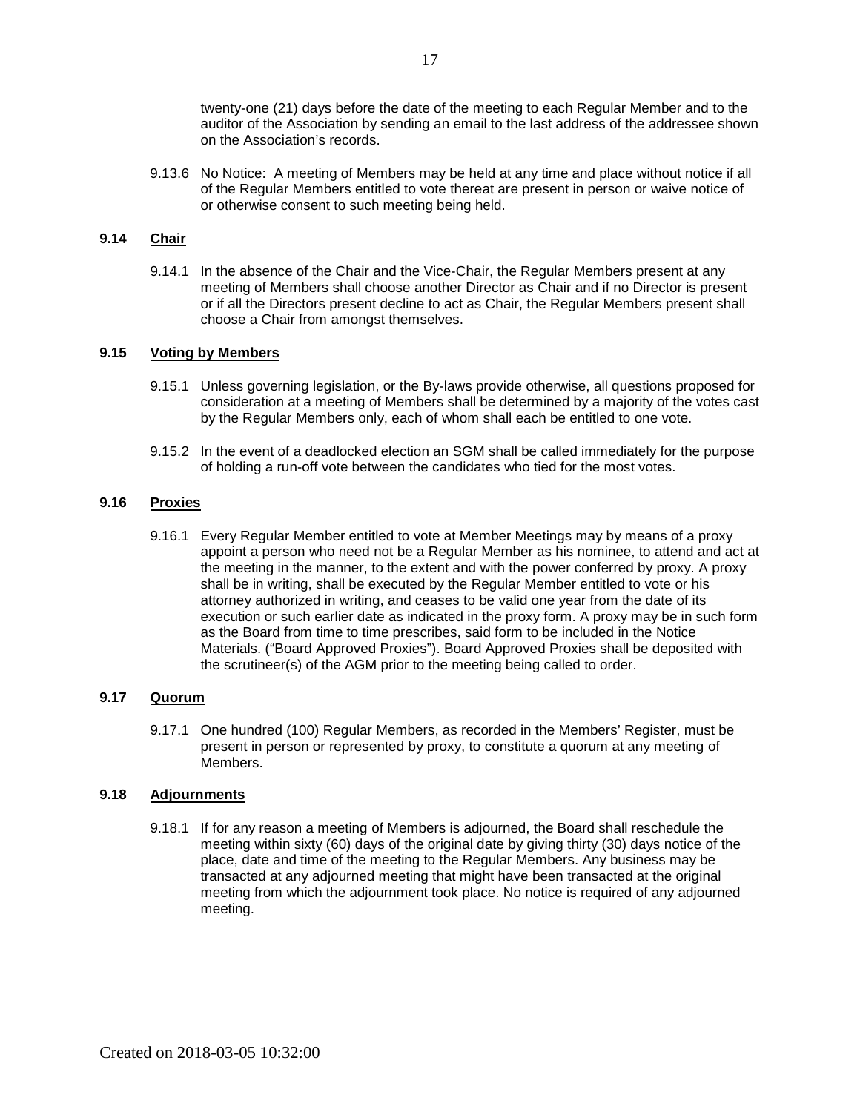twenty-one (21) days before the date of the meeting to each Regular Member and to the auditor of the Association by sending an email to the last address of the addressee shown on the Association's records.

9.13.6 No Notice: A meeting of Members may be held at any time and place without notice if all of the Regular Members entitled to vote thereat are present in person or waive notice of or otherwise consent to such meeting being held.

#### <span id="page-18-0"></span>**9.14 Chair**

9.14.1 In the absence of the Chair and the Vice-Chair, the Regular Members present at any meeting of Members shall choose another Director as Chair and if no Director is present or if all the Directors present decline to act as Chair, the Regular Members present shall choose a Chair from amongst themselves.

### <span id="page-18-1"></span>**9.15 Voting by Members**

- 9.15.1 Unless governing legislation, or the By-laws provide otherwise, all questions proposed for consideration at a meeting of Members shall be determined by a majority of the votes cast by the Regular Members only, each of whom shall each be entitled to one vote.
- 9.15.2 In the event of a deadlocked election an SGM shall be called immediately for the purpose of holding a run-off vote between the candidates who tied for the most votes.

## <span id="page-18-2"></span>**9.16 Proxies**

9.16.1 Every Regular Member entitled to vote at Member Meetings may by means of a proxy appoint a person who need not be a Regular Member as his nominee, to attend and act at the meeting in the manner, to the extent and with the power conferred by proxy. A proxy shall be in writing, shall be executed by the Regular Member entitled to vote or his attorney authorized in writing, and ceases to be valid one year from the date of its execution or such earlier date as indicated in the proxy form. A proxy may be in such form as the Board from time to time prescribes, said form to be included in the Notice Materials. ("Board Approved Proxies"). Board Approved Proxies shall be deposited with the scrutineer(s) of the AGM prior to the meeting being called to order.

#### <span id="page-18-3"></span>**9.17 Quorum**

9.17.1 One hundred (100) Regular Members, as recorded in the Members' Register, must be present in person or represented by proxy, to constitute a quorum at any meeting of Members.

#### <span id="page-18-4"></span>**9.18 Adjournments**

<span id="page-18-5"></span>9.18.1 If for any reason a meeting of Members is adjourned, the Board shall reschedule the meeting within sixty (60) days of the original date by giving thirty (30) days notice of the place, date and time of the meeting to the Regular Members. Any business may be transacted at any adjourned meeting that might have been transacted at the original meeting from which the adjournment took place. No notice is required of any adjourned meeting.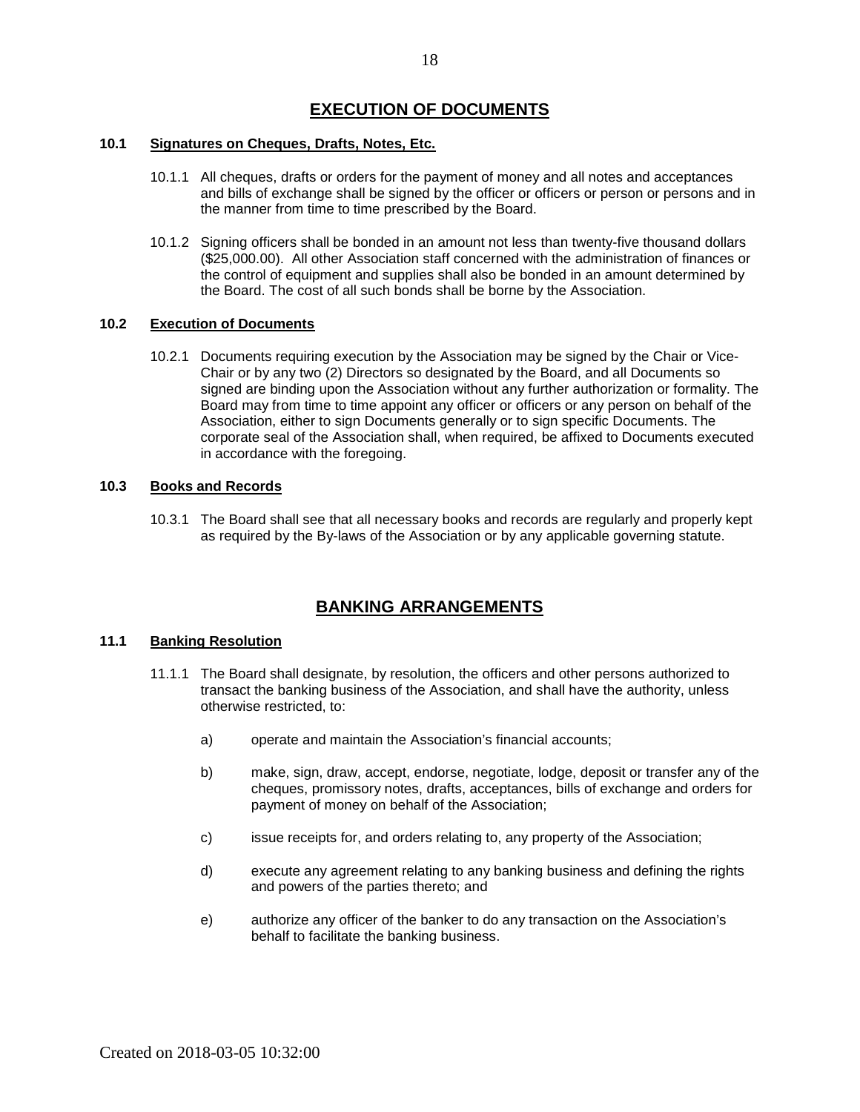# **EXECUTION OF DOCUMENTS**

#### <span id="page-19-0"></span>**10.1 Signatures on Cheques, Drafts, Notes, Etc.**

- 10.1.1 All cheques, drafts or orders for the payment of money and all notes and acceptances and bills of exchange shall be signed by the officer or officers or person or persons and in the manner from time to time prescribed by the Board.
- 10.1.2 Signing officers shall be bonded in an amount not less than twenty-five thousand dollars (\$25,000.00). All other Association staff concerned with the administration of finances or the control of equipment and supplies shall also be bonded in an amount determined by the Board. The cost of all such bonds shall be borne by the Association.

#### <span id="page-19-1"></span>**10.2 Execution of Documents**

10.2.1 Documents requiring execution by the Association may be signed by the Chair or Vice-Chair or by any two (2) Directors so designated by the Board, and all Documents so signed are binding upon the Association without any further authorization or formality. The Board may from time to time appoint any officer or officers or any person on behalf of the Association, either to sign Documents generally or to sign specific Documents. The corporate seal of the Association shall, when required, be affixed to Documents executed in accordance with the foregoing.

### <span id="page-19-2"></span>**10.3 Books and Records**

10.3.1 The Board shall see that all necessary books and records are regularly and properly kept as required by the By-laws of the Association or by any applicable governing statute.

# **BANKING ARRANGEMENTS**

## <span id="page-19-4"></span><span id="page-19-3"></span>**11.1 Banking Resolution**

- 11.1.1 The Board shall designate, by resolution, the officers and other persons authorized to transact the banking business of the Association, and shall have the authority, unless otherwise restricted, to:
	- a) operate and maintain the Association's financial accounts;
	- b) make, sign, draw, accept, endorse, negotiate, lodge, deposit or transfer any of the cheques, promissory notes, drafts, acceptances, bills of exchange and orders for payment of money on behalf of the Association;
	- c) issue receipts for, and orders relating to, any property of the Association;
	- d) execute any agreement relating to any banking business and defining the rights and powers of the parties thereto; and
	- e) authorize any officer of the banker to do any transaction on the Association's behalf to facilitate the banking business.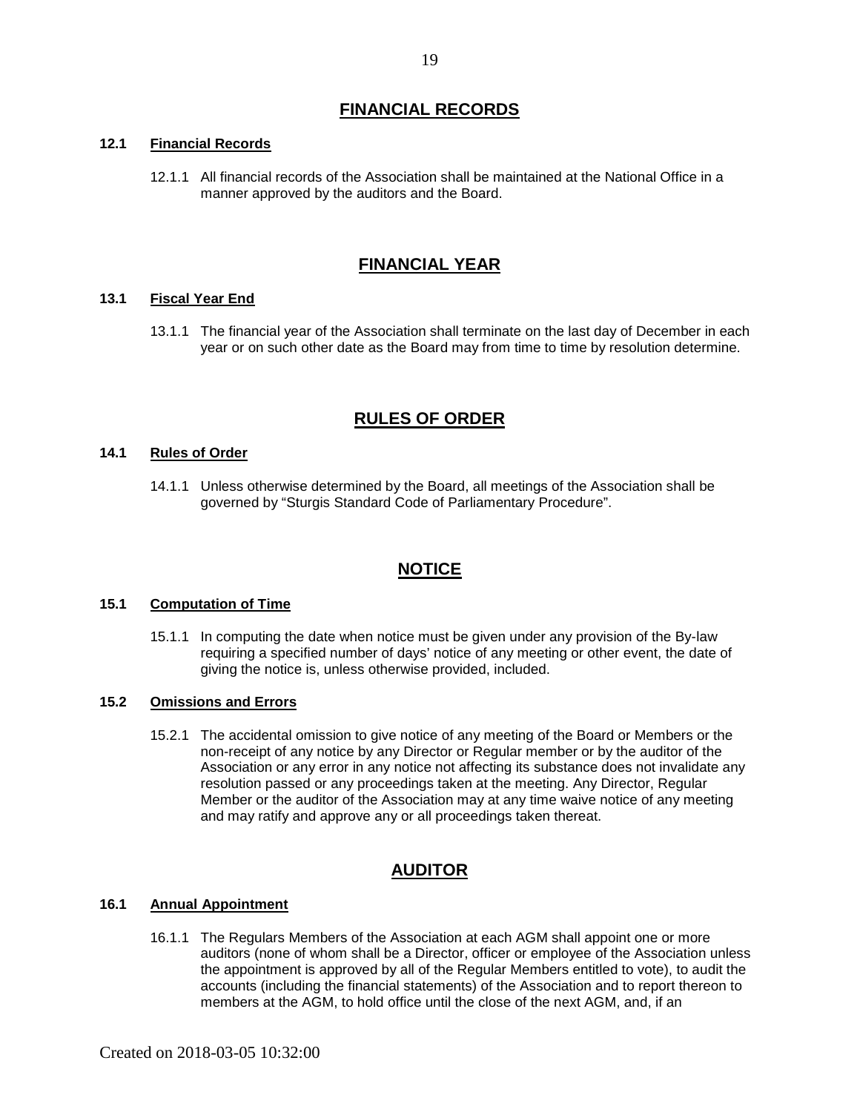# **FINANCIAL RECORDS**

#### <span id="page-20-1"></span><span id="page-20-0"></span>**12.1 Financial Records**

12.1.1 All financial records of the Association shall be maintained at the National Office in a manner approved by the auditors and the Board.

# **FINANCIAL YEAR**

#### <span id="page-20-3"></span><span id="page-20-2"></span>**13.1 Fiscal Year End**

<span id="page-20-4"></span>13.1.1 The financial year of the Association shall terminate on the last day of December in each year or on such other date as the Board may from time to time by resolution determine.

# **RULES OF ORDER**

#### <span id="page-20-5"></span>**14.1 Rules of Order**

14.1.1 Unless otherwise determined by the Board, all meetings of the Association shall be governed by "Sturgis Standard Code of Parliamentary Procedure".

## **NOTICE**

#### <span id="page-20-7"></span><span id="page-20-6"></span>**15.1 Computation of Time**

15.1.1 In computing the date when notice must be given under any provision of the By-law requiring a specified number of days' notice of any meeting or other event, the date of giving the notice is, unless otherwise provided, included.

#### <span id="page-20-8"></span>**15.2 Omissions and Errors**

15.2.1 The accidental omission to give notice of any meeting of the Board or Members or the non-receipt of any notice by any Director or Regular member or by the auditor of the Association or any error in any notice not affecting its substance does not invalidate any resolution passed or any proceedings taken at the meeting. Any Director, Regular Member or the auditor of the Association may at any time waive notice of any meeting and may ratify and approve any or all proceedings taken thereat.

## **AUDITOR**

#### <span id="page-20-10"></span><span id="page-20-9"></span>**16.1 Annual Appointment**

16.1.1 The Regulars Members of the Association at each AGM shall appoint one or more auditors (none of whom shall be a Director, officer or employee of the Association unless the appointment is approved by all of the Regular Members entitled to vote), to audit the accounts (including the financial statements) of the Association and to report thereon to members at the AGM, to hold office until the close of the next AGM, and, if an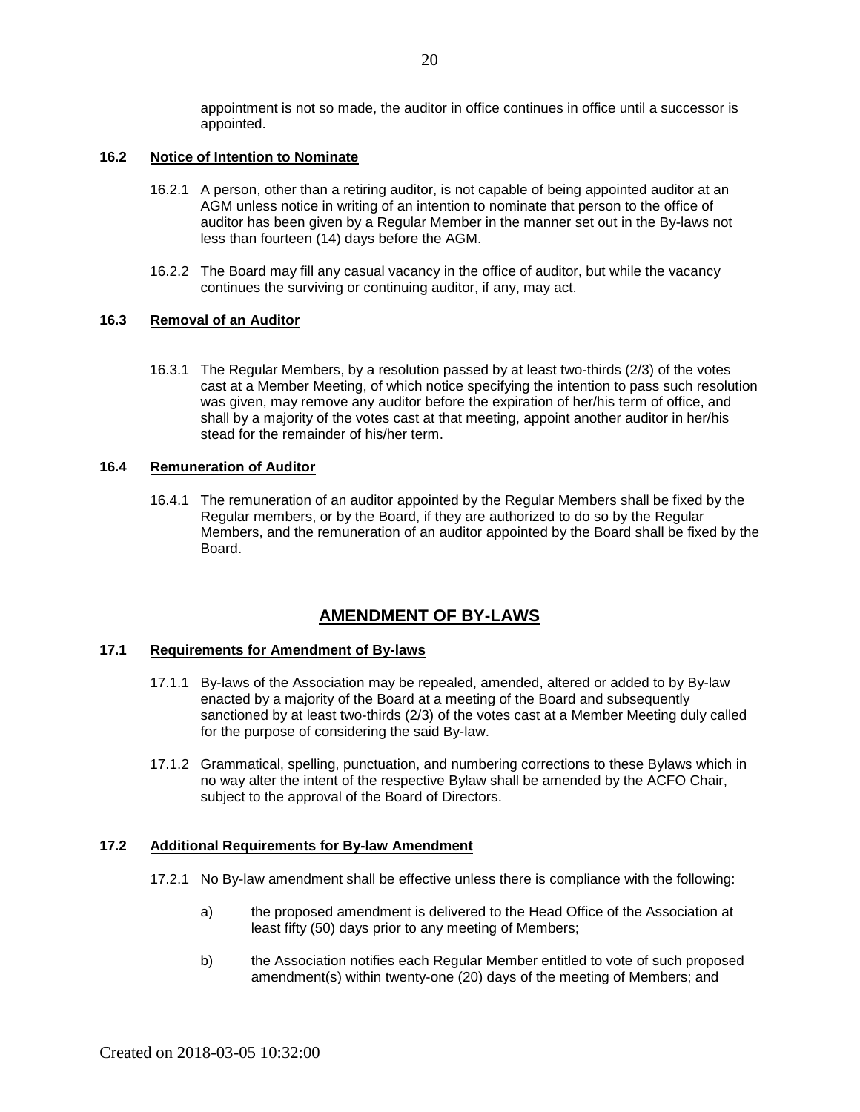appointment is not so made, the auditor in office continues in office until a successor is appointed.

#### <span id="page-21-0"></span>**16.2 Notice of Intention to Nominate**

- 16.2.1 A person, other than a retiring auditor, is not capable of being appointed auditor at an AGM unless notice in writing of an intention to nominate that person to the office of auditor has been given by a Regular Member in the manner set out in the By-laws not less than fourteen (14) days before the AGM.
- 16.2.2 The Board may fill any casual vacancy in the office of auditor, but while the vacancy continues the surviving or continuing auditor, if any, may act.

#### <span id="page-21-1"></span>**16.3 Removal of an Auditor**

16.3.1 The Regular Members, by a resolution passed by at least two-thirds (2/3) of the votes cast at a Member Meeting, of which notice specifying the intention to pass such resolution was given, may remove any auditor before the expiration of her/his term of office, and shall by a majority of the votes cast at that meeting, appoint another auditor in her/his stead for the remainder of his/her term.

#### <span id="page-21-2"></span>**16.4 Remuneration of Auditor**

16.4.1 The remuneration of an auditor appointed by the Regular Members shall be fixed by the Regular members, or by the Board, if they are authorized to do so by the Regular Members, and the remuneration of an auditor appointed by the Board shall be fixed by the Board.

## **AMENDMENT OF BY-LAWS**

#### <span id="page-21-4"></span><span id="page-21-3"></span>**17.1 Requirements for Amendment of By-laws**

- 17.1.1 By-laws of the Association may be repealed, amended, altered or added to by By-law enacted by a majority of the Board at a meeting of the Board and subsequently sanctioned by at least two-thirds (2/3) of the votes cast at a Member Meeting duly called for the purpose of considering the said By-law.
- 17.1.2 Grammatical, spelling, punctuation, and numbering corrections to these Bylaws which in no way alter the intent of the respective Bylaw shall be amended by the ACFO Chair, subject to the approval of the Board of Directors.

#### <span id="page-21-5"></span>**17.2 Additional Requirements for By-law Amendment**

- 17.2.1 No By-law amendment shall be effective unless there is compliance with the following:
	- a) the proposed amendment is delivered to the Head Office of the Association at least fifty (50) days prior to any meeting of Members;
	- b) the Association notifies each Regular Member entitled to vote of such proposed amendment(s) within twenty-one (20) days of the meeting of Members; and